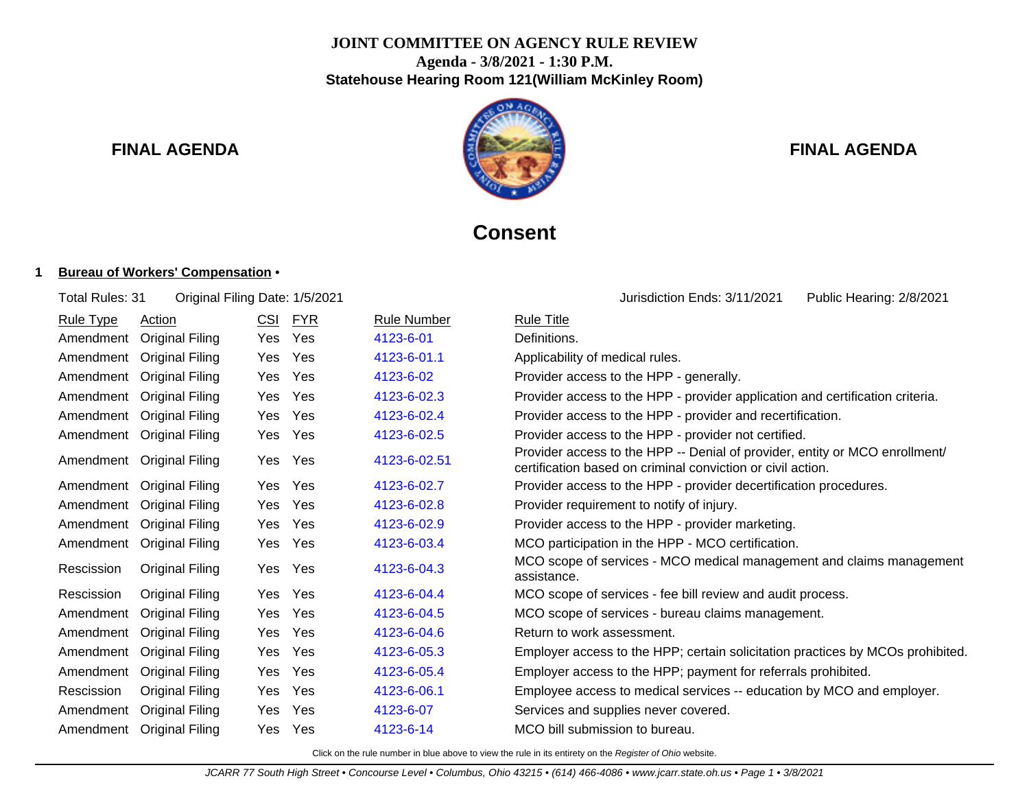## **JOINT COMMITTEE ON AGENCY RULE REVIEW Agenda - 3/8/2021 - 1:30 P.M. Statehouse Hearing Room 121(William McKinley Room)**



# **FINAL AGENDA FINAL AGENDA**

# **Consent**

Total Rules: 31 Original Filing Date: 1/5/2021 <br>
Uurisdiction Ends: 3/11/2021 Public Hearing: 2/8/2021

### **1 Bureau of Workers' Compensation** •

| <b>Rule Type</b> | Action                 | <u>CSI</u> | <b>FYR</b> | <b>Rule Number</b> | <b>Rule Title</b>                                                                                                                          |
|------------------|------------------------|------------|------------|--------------------|--------------------------------------------------------------------------------------------------------------------------------------------|
| Amendment        | <b>Original Filing</b> | <b>Yes</b> | Yes        | 4123-6-01          | Definitions.                                                                                                                               |
| Amendment        | <b>Original Filing</b> | Yes        | Yes        | 4123-6-01.1        | Applicability of medical rules.                                                                                                            |
| Amendment        | Original Filing        | Yes        | <b>Yes</b> | 4123-6-02          | Provider access to the HPP - generally.                                                                                                    |
| Amendment        | Original Filing        | <b>Yes</b> | Yes        | 4123-6-02.3        | Provider access to the HPP - provider application and certification criteria.                                                              |
| Amendment        | <b>Original Filing</b> | Yes        | Yes        | 4123-6-02.4        | Provider access to the HPP - provider and recertification.                                                                                 |
| Amendment        | <b>Original Filing</b> | Yes        | Yes        | 4123-6-02.5        | Provider access to the HPP - provider not certified.                                                                                       |
| Amendment        | <b>Original Filing</b> | <b>Yes</b> | Yes        | 4123-6-02.51       | Provider access to the HPP -- Denial of provider, entity or MCO enrollment/<br>certification based on criminal conviction or civil action. |
| Amendment        | <b>Original Filing</b> | <b>Yes</b> | Yes        | 4123-6-02.7        | Provider access to the HPP - provider decertification procedures.                                                                          |
| Amendment        | <b>Original Filing</b> | Yes        | Yes        | 4123-6-02.8        | Provider requirement to notify of injury.                                                                                                  |
| Amendment        | Original Filing        | Yes        | Yes        | 4123-6-02.9        | Provider access to the HPP - provider marketing.                                                                                           |
| Amendment        | <b>Original Filing</b> | Yes        | Yes        | 4123-6-03.4        | MCO participation in the HPP - MCO certification.                                                                                          |
| Rescission       | <b>Original Filing</b> | Yes        | Yes        | 4123-6-04.3        | MCO scope of services - MCO medical management and claims management<br>assistance.                                                        |
| Rescission       | <b>Original Filing</b> | Yes        | Yes        | 4123-6-04.4        | MCO scope of services - fee bill review and audit process.                                                                                 |
| Amendment        | Original Filing        | Yes        | Yes        | 4123-6-04.5        | MCO scope of services - bureau claims management.                                                                                          |
| Amendment        | <b>Original Filing</b> | Yes        | Yes        | 4123-6-04.6        | Return to work assessment.                                                                                                                 |
| Amendment        | Original Filing        | Yes        | Yes        | 4123-6-05.3        | Employer access to the HPP; certain solicitation practices by MCOs prohibited.                                                             |
| Amendment        | <b>Original Filing</b> | Yes        | Yes        | 4123-6-05.4        | Employer access to the HPP; payment for referrals prohibited.                                                                              |
| Rescission       | Original Filing        | Yes        | Yes        | 4123-6-06.1        | Employee access to medical services -- education by MCO and employer.                                                                      |
| Amendment        | Original Filing        | Yes        | Yes        | 4123-6-07          | Services and supplies never covered.                                                                                                       |
| Amendment        | Original Filing        | Yes.       | Yes        | 4123-6-14          | MCO bill submission to bureau.                                                                                                             |
|                  |                        |            |            |                    |                                                                                                                                            |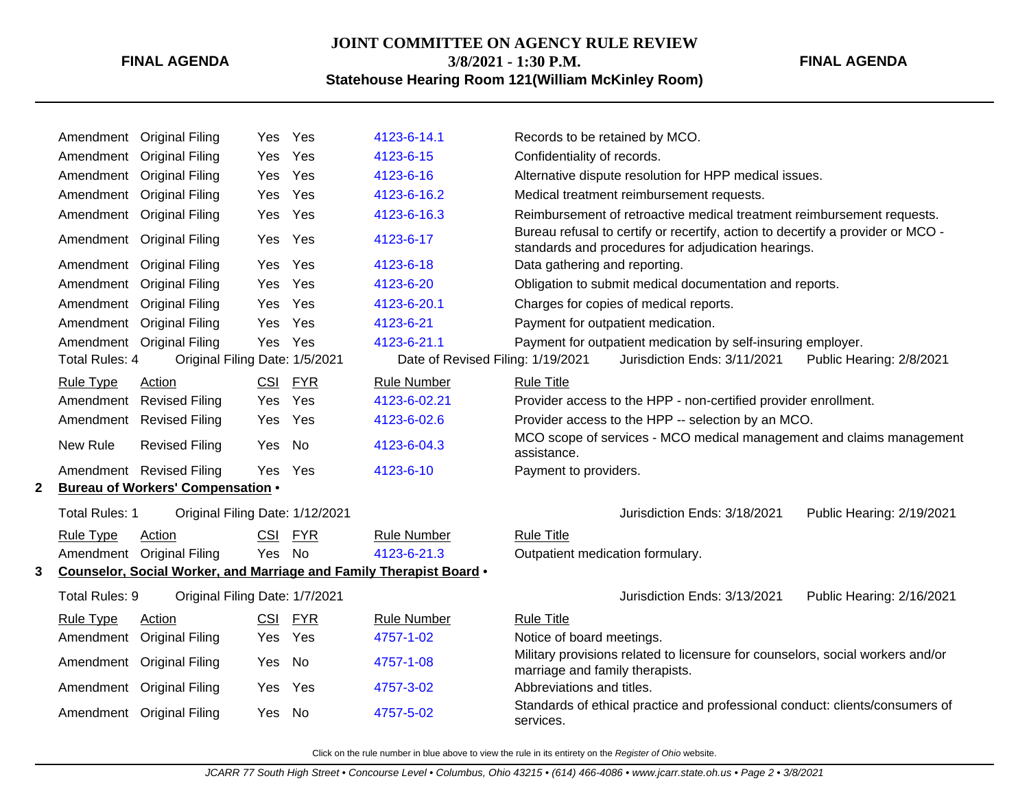# **JOINT COMMITTEE ON AGENCY RULE REVIEW 3/8/2021 - 1:30 P.M.**

#### **FINAL AGENDA**

**Statehouse Hearing Room 121(William McKinley Room)**

|    |                               | Amendment Original Filing                                   | Yes               | Yes               | 4123-6-14.1                                                         | Records to be retained by MCO.                                                                                                            |
|----|-------------------------------|-------------------------------------------------------------|-------------------|-------------------|---------------------------------------------------------------------|-------------------------------------------------------------------------------------------------------------------------------------------|
|    | Amendment                     | <b>Original Filing</b>                                      | Yes               | Yes               | 4123-6-15                                                           | Confidentiality of records.                                                                                                               |
|    |                               | Amendment Original Filing                                   | Yes               | Yes               | 4123-6-16                                                           | Alternative dispute resolution for HPP medical issues.                                                                                    |
|    |                               | Amendment Original Filing                                   | Yes               | Yes               | 4123-6-16.2                                                         | Medical treatment reimbursement requests.                                                                                                 |
|    |                               | Amendment Original Filing                                   | Yes               | Yes               | 4123-6-16.3                                                         | Reimbursement of retroactive medical treatment reimbursement requests.                                                                    |
|    |                               | Amendment Original Filing                                   | Yes               | Yes               | 4123-6-17                                                           | Bureau refusal to certify or recertify, action to decertify a provider or MCO -<br>standards and procedures for adjudication hearings.    |
|    |                               | Amendment Original Filing                                   | Yes               | Yes               | 4123-6-18                                                           | Data gathering and reporting.                                                                                                             |
|    | Amendment                     | <b>Original Filing</b>                                      | Yes               | Yes               | 4123-6-20                                                           | Obligation to submit medical documentation and reports.                                                                                   |
|    |                               | Amendment Original Filing                                   | Yes               | Yes               | 4123-6-20.1                                                         | Charges for copies of medical reports.                                                                                                    |
|    |                               | Amendment Original Filing                                   | Yes               | Yes               | 4123-6-21                                                           | Payment for outpatient medication.                                                                                                        |
|    | <b>Total Rules: 4</b>         | Amendment Original Filing<br>Original Filing Date: 1/5/2021 | Yes               | Yes               | 4123-6-21.1<br>Date of Revised Filing: 1/19/2021                    | Payment for outpatient medication by self-insuring employer.<br>Jurisdiction Ends: 3/11/2021<br>Public Hearing: 2/8/2021                  |
|    |                               |                                                             |                   |                   |                                                                     |                                                                                                                                           |
|    | <b>Rule Type</b><br>Amendment | Action                                                      | <b>CSI</b><br>Yes | <b>FYR</b><br>Yes | <b>Rule Number</b><br>4123-6-02.21                                  | <b>Rule Title</b><br>Provider access to the HPP - non-certified provider enrollment.                                                      |
|    |                               | <b>Revised Filing</b>                                       |                   | Yes               | 4123-6-02.6                                                         |                                                                                                                                           |
|    | New Rule                      | Amendment Revised Filing<br><b>Revised Filing</b>           | Yes<br>Yes        | No                | 4123-6-04.3                                                         | Provider access to the HPP -- selection by an MCO.<br>MCO scope of services - MCO medical management and claims management<br>assistance. |
|    |                               | Amendment Revised Filing                                    | Yes               | Yes               | 4123-6-10                                                           | Payment to providers.                                                                                                                     |
| 2  |                               | <b>Bureau of Workers' Compensation •</b>                    |                   |                   |                                                                     |                                                                                                                                           |
|    | Total Rules: 1                | Original Filing Date: 1/12/2021                             |                   |                   |                                                                     | Jurisdiction Ends: 3/18/2021<br>Public Hearing: 2/19/2021                                                                                 |
|    | <b>Rule Type</b>              | Action                                                      | <b>CSI</b>        | <b>FYR</b>        | <b>Rule Number</b>                                                  | <b>Rule Title</b>                                                                                                                         |
|    |                               | Amendment Original Filing                                   | Yes               | No                | 4123-6-21.3                                                         | Outpatient medication formulary.                                                                                                          |
| 3. |                               |                                                             |                   |                   | Counselor, Social Worker, and Marriage and Family Therapist Board . |                                                                                                                                           |
|    | Total Rules: 9                | Original Filing Date: 1/7/2021                              |                   |                   |                                                                     | Jurisdiction Ends: 3/13/2021<br>Public Hearing: 2/16/2021                                                                                 |
|    | <b>Rule Type</b>              | Action                                                      | <b>CSI</b>        | <b>FYR</b>        | <b>Rule Number</b>                                                  | <b>Rule Title</b>                                                                                                                         |
|    |                               | Amendment Original Filing                                   | Yes               | Yes               | 4757-1-02                                                           | Notice of board meetings.                                                                                                                 |
|    |                               | Amendment Original Filing                                   | Yes               | No                | 4757-1-08                                                           | Military provisions related to licensure for counselors, social workers and/or<br>marriage and family therapists.                         |
|    |                               | Amendment Original Filing                                   | Yes               | Yes               | 4757-3-02                                                           | Abbreviations and titles.                                                                                                                 |
|    |                               | Amendment Original Filing                                   | Yes               | <b>No</b>         | 4757-5-02                                                           | Standards of ethical practice and professional conduct: clients/consumers of<br>services.                                                 |
|    |                               |                                                             |                   |                   |                                                                     |                                                                                                                                           |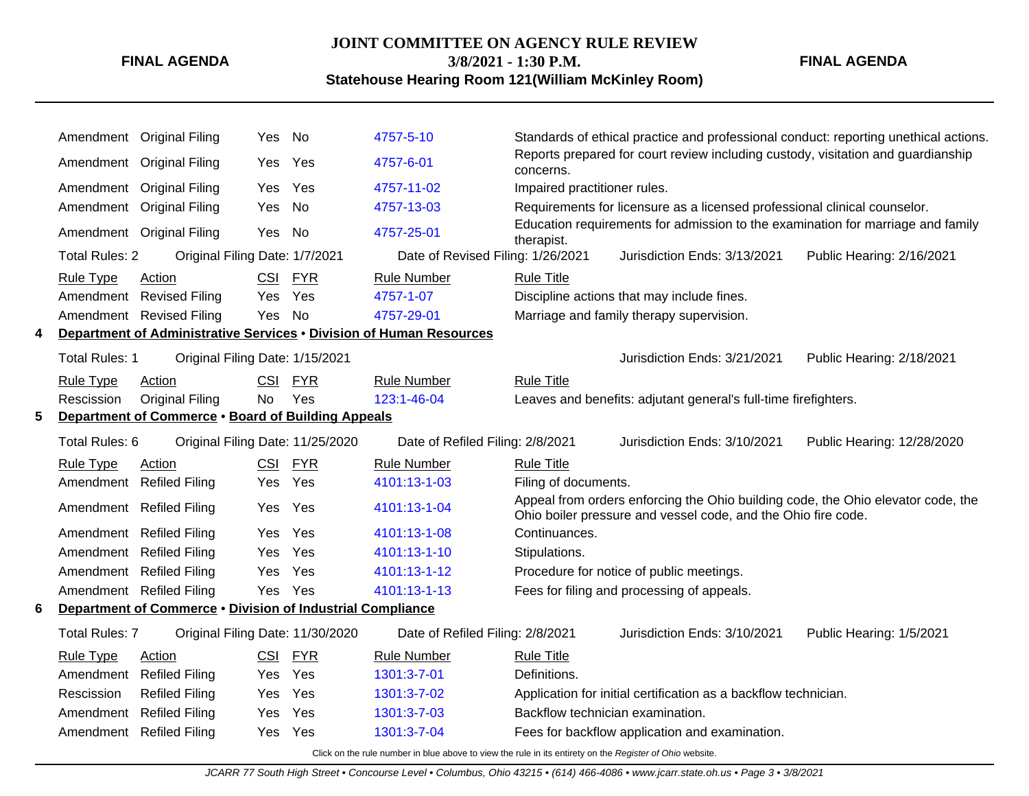## **JOINT COMMITTEE ON AGENCY RULE REVIEW**

**FINAL AGENDA**

**3/8/2021 - 1:30 P.M.**

**Statehouse Hearing Room 121(William McKinley Room)**

|                                                         |                                                    | Amendment Original Filing                                  | Yes No     |            | 4757-5-10                                                                                                |                                  |                                                                                                                                                   | Standards of ethical practice and professional conduct: reporting unethical actions. |
|---------------------------------------------------------|----------------------------------------------------|------------------------------------------------------------|------------|------------|----------------------------------------------------------------------------------------------------------|----------------------------------|---------------------------------------------------------------------------------------------------------------------------------------------------|--------------------------------------------------------------------------------------|
|                                                         |                                                    | Amendment Original Filing                                  | Yes        | Yes        | 4757-6-01                                                                                                | concerns.                        | Reports prepared for court review including custody, visitation and guardianship                                                                  |                                                                                      |
|                                                         |                                                    | Amendment Original Filing                                  | Yes        | Yes        | 4757-11-02                                                                                               | Impaired practitioner rules.     |                                                                                                                                                   |                                                                                      |
|                                                         |                                                    | Amendment Original Filing                                  | Yes        | No         | 4757-13-03                                                                                               |                                  | Requirements for licensure as a licensed professional clinical counselor.                                                                         |                                                                                      |
|                                                         |                                                    | Amendment Original Filing                                  | Yes        | No         | 4757-25-01                                                                                               | therapist.                       | Education requirements for admission to the examination for marriage and family                                                                   |                                                                                      |
|                                                         | <b>Total Rules: 2</b>                              | Original Filing Date: 1/7/2021                             |            |            | Date of Revised Filing: 1/26/2021                                                                        |                                  | Jurisdiction Ends: 3/13/2021                                                                                                                      | Public Hearing: 2/16/2021                                                            |
|                                                         | <b>Rule Type</b>                                   | Action                                                     |            | CSI FYR    | <b>Rule Number</b>                                                                                       | <b>Rule Title</b>                |                                                                                                                                                   |                                                                                      |
|                                                         |                                                    | Amendment Revised Filing                                   | Yes        | Yes        | 4757-1-07                                                                                                |                                  | Discipline actions that may include fines.                                                                                                        |                                                                                      |
|                                                         |                                                    | Amendment Revised Filing                                   | Yes        | No         | 4757-29-01                                                                                               |                                  | Marriage and family therapy supervision.                                                                                                          |                                                                                      |
| 4                                                       |                                                    |                                                            |            |            | Department of Administrative Services . Division of Human Resources                                      |                                  |                                                                                                                                                   |                                                                                      |
|                                                         | Total Rules: 1                                     | Original Filing Date: 1/15/2021                            |            |            |                                                                                                          |                                  | Jurisdiction Ends: 3/21/2021                                                                                                                      | Public Hearing: 2/18/2021                                                            |
|                                                         | <b>Rule Type</b>                                   | Action                                                     | CSI        | <b>FYR</b> | <b>Rule Number</b>                                                                                       | <b>Rule Title</b>                |                                                                                                                                                   |                                                                                      |
|                                                         | Rescission                                         | <b>Original Filing</b>                                     | <b>No</b>  | Yes        | 123:1-46-04                                                                                              |                                  | Leaves and benefits: adjutant general's full-time firefighters.                                                                                   |                                                                                      |
| Department of Commerce . Board of Building Appeals<br>5 |                                                    |                                                            |            |            |                                                                                                          |                                  |                                                                                                                                                   |                                                                                      |
|                                                         | Total Rules: 6<br>Original Filing Date: 11/25/2020 |                                                            |            |            | Date of Refiled Filing: 2/8/2021                                                                         |                                  | Jurisdiction Ends: 3/10/2021                                                                                                                      | Public Hearing: 12/28/2020                                                           |
|                                                         | Rule Type                                          | Action                                                     | <b>CSI</b> | <b>FYR</b> | <b>Rule Number</b>                                                                                       | <b>Rule Title</b>                |                                                                                                                                                   |                                                                                      |
|                                                         |                                                    | Amendment Refiled Filing                                   | Yes        | Yes        | 4101:13-1-03                                                                                             | Filing of documents.             |                                                                                                                                                   |                                                                                      |
|                                                         |                                                    | Amendment Refiled Filing                                   | Yes        | Yes        | 4101:13-1-04                                                                                             |                                  | Appeal from orders enforcing the Ohio building code, the Ohio elevator code, the<br>Ohio boiler pressure and vessel code, and the Ohio fire code. |                                                                                      |
|                                                         |                                                    | Amendment Refiled Filing                                   | Yes        | Yes        | 4101:13-1-08                                                                                             | Continuances.                    |                                                                                                                                                   |                                                                                      |
|                                                         |                                                    | Amendment Refiled Filing                                   | Yes        | Yes        | 4101:13-1-10                                                                                             | Stipulations.                    |                                                                                                                                                   |                                                                                      |
|                                                         |                                                    | Amendment Refiled Filing                                   | Yes        | Yes        | 4101:13-1-12                                                                                             |                                  | Procedure for notice of public meetings.                                                                                                          |                                                                                      |
|                                                         |                                                    | Amendment Refiled Filing                                   | Yes Yes    |            | 4101:13-1-13                                                                                             |                                  | Fees for filing and processing of appeals.                                                                                                        |                                                                                      |
| 6                                                       |                                                    | Department of Commerce . Division of Industrial Compliance |            |            |                                                                                                          |                                  |                                                                                                                                                   |                                                                                      |
|                                                         | <b>Total Rules: 7</b>                              | Original Filing Date: 11/30/2020                           |            |            | Date of Refiled Filing: 2/8/2021                                                                         |                                  | Jurisdiction Ends: 3/10/2021                                                                                                                      | Public Hearing: 1/5/2021                                                             |
|                                                         | <b>Rule Type</b>                                   | Action                                                     | <u>CSI</u> | <b>FYR</b> | <b>Rule Number</b>                                                                                       | <b>Rule Title</b>                |                                                                                                                                                   |                                                                                      |
|                                                         | Amendment                                          | <b>Refiled Filing</b>                                      | Yes        | Yes        | 1301:3-7-01                                                                                              | Definitions.                     |                                                                                                                                                   |                                                                                      |
|                                                         | Rescission                                         | <b>Refiled Filing</b>                                      | Yes        | Yes        | 1301:3-7-02                                                                                              |                                  | Application for initial certification as a backflow technician.                                                                                   |                                                                                      |
|                                                         | Amendment                                          | <b>Refiled Filing</b>                                      | Yes        | Yes        | 1301:3-7-03                                                                                              | Backflow technician examination. |                                                                                                                                                   |                                                                                      |
|                                                         |                                                    | Amendment Refiled Filing                                   | Yes        | Yes        | 1301:3-7-04                                                                                              |                                  | Fees for backflow application and examination.                                                                                                    |                                                                                      |
|                                                         |                                                    |                                                            |            |            | Click on the rule number in blue above to view the rule in its entirety on the Register of Ohio website. |                                  |                                                                                                                                                   |                                                                                      |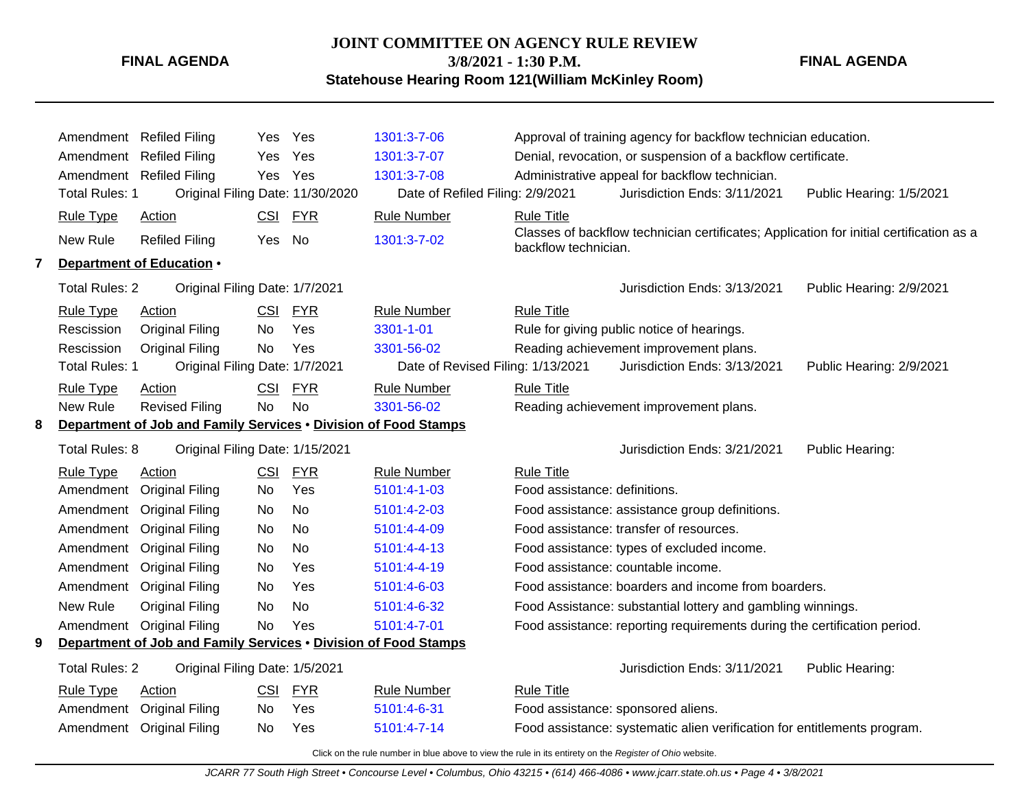**FINAL AGENDA**

**3/8/2021 - 1:30 P.M.**

**FINAL AGENDA**

**Statehouse Hearing Room 121(William McKinley Room)**

Amendment Refiled Filing Yes Yes [1301:3-7-06](http://www.registerofohio.state.oh.us/jsps/publicdisplayrules/processPublicDisplayRules.jsp?entered_rule_no=1301:3-7-06&doWhat=GETBYRULENUM&raID=0) Approval of training agency for backflow technician education. Amendment Refiled Filing Yes Yes [1301:3-7-07](http://www.registerofohio.state.oh.us/jsps/publicdisplayrules/processPublicDisplayRules.jsp?entered_rule_no=1301:3-7-07&doWhat=GETBYRULENUM&raID=0) Denial, revocation, or suspension of a backflow certificate. Amendment Refiled Filing Yes Yes [1301:3-7-08](http://www.registerofohio.state.oh.us/jsps/publicdisplayrules/processPublicDisplayRules.jsp?entered_rule_no=1301:3-7-08&doWhat=GETBYRULENUM&raID=0) Administrative appeal for backflow technician. Total Rules: 1 Original Filing Date: 11/30/2020 Date of Refiled Filing: 2/9/2021 Jurisdiction Ends: 3/11/2021 Public Hearing: 1/5/2021 Rule Type Action **CSI FYR** Rule Number Rule Title New Rule Refiled Filing Yes No [1301:3-7-02](http://www.registerofohio.state.oh.us/jsps/publicdisplayrules/processPublicDisplayRules.jsp?entered_rule_no=1301:3-7-02&doWhat=GETBYRULENUM&raID=0) Classes of backflow technician certificates; Application for initial certification as a backflow technician. **7 Department of Education** • Total Rules: 2 Original Filing Date: 1/7/2021 Jurisdiction Ends: 3/13/2021 Public Hearing: 2/9/2021 Rule Type Action **CSI FYR** Rule Number Rule Title Rescission Original Filing No Yes [3301-1-01](http://www.registerofohio.state.oh.us/jsps/publicdisplayrules/processPublicDisplayRules.jsp?entered_rule_no=3301-1-01&doWhat=GETBYRULENUM&raID=0) Rule for giving public notice of hearings. Rescission Original Filing No Yes [3301-56-02](http://www.registerofohio.state.oh.us/jsps/publicdisplayrules/processPublicDisplayRules.jsp?entered_rule_no=3301-56-02&doWhat=GETBYRULENUM&raID=0) Reading achievement improvement plans. Total Rules: 1 Original Filing Date: 1/7/2021 Date of Revised Filing: 1/13/2021 Jurisdiction Ends: 3/13/2021 Public Hearing: 2/9/2021 Rule Type Action **CSI FYR** Rule Number Rule Title New Rule Revised Filing No No [3301-56-02](http://www.registerofohio.state.oh.us/jsps/publicdisplayrules/processPublicDisplayRules.jsp?entered_rule_no=3301-56-02&doWhat=GETBYRULENUM&raID=0) Reading achievement improvement plans. **8 Department of Job and Family Services** • **Division of Food Stamps** Total Rules: 8 Original Filing Date: 1/15/2021 **Contained Accord Public Learning:** Jurisdiction Ends: 3/21/2021 Public Hearing: Rule Type Action **CSI FYR** Rule Number Rule Title Amendment Original Filing No Yes [5101:4-1-03](http://www.registerofohio.state.oh.us/jsps/publicdisplayrules/processPublicDisplayRules.jsp?entered_rule_no=5101:4-1-03&doWhat=GETBYRULENUM&raID=0) Food assistance: definitions. Amendment Original Filing No No [5101:4-2-03](http://www.registerofohio.state.oh.us/jsps/publicdisplayrules/processPublicDisplayRules.jsp?entered_rule_no=5101:4-2-03&doWhat=GETBYRULENUM&raID=0) Food assistance: assistance group definitions. Amendment Original Filing No No [5101:4-4-09](http://www.registerofohio.state.oh.us/jsps/publicdisplayrules/processPublicDisplayRules.jsp?entered_rule_no=5101:4-4-09&doWhat=GETBYRULENUM&raID=0) Food assistance: transfer of resources. Amendment Original Filing No No [5101:4-4-13](http://www.registerofohio.state.oh.us/jsps/publicdisplayrules/processPublicDisplayRules.jsp?entered_rule_no=5101:4-4-13&doWhat=GETBYRULENUM&raID=0) Food assistance: types of excluded income. Amendment Original Filing No Yes [5101:4-4-19](http://www.registerofohio.state.oh.us/jsps/publicdisplayrules/processPublicDisplayRules.jsp?entered_rule_no=5101:4-4-19&doWhat=GETBYRULENUM&raID=0) Food assistance: countable income. Amendment Original Filing No Yes [5101:4-6-03](http://www.registerofohio.state.oh.us/jsps/publicdisplayrules/processPublicDisplayRules.jsp?entered_rule_no=5101:4-6-03&doWhat=GETBYRULENUM&raID=0) Food assistance: boarders and income from boarders. New Rule Original Filing No No [5101:4-6-32](http://www.registerofohio.state.oh.us/jsps/publicdisplayrules/processPublicDisplayRules.jsp?entered_rule_no=5101:4-6-32&doWhat=GETBYRULENUM&raID=0) Food Assistance: substantial lottery and gambling winnings. Amendment Original Filing No Yes [5101:4-7-01](http://www.registerofohio.state.oh.us/jsps/publicdisplayrules/processPublicDisplayRules.jsp?entered_rule_no=5101:4-7-01&doWhat=GETBYRULENUM&raID=0) Food assistance: reporting requirements during the certification period. **9 Department of Job and Family Services** • **Division of Food Stamps** Total Rules: 2 Original Filing Date: 1/5/2021 **Contained Accord Public Heart Contained Accord Public Hearing:** Jurisdiction Ends: 3/11/2021 Public Hearing: Rule Type Action **CSI FYR** Rule Number Rule Title Amendment Original Filing No Yes [5101:4-6-31](http://www.registerofohio.state.oh.us/jsps/publicdisplayrules/processPublicDisplayRules.jsp?entered_rule_no=5101:4-6-31&doWhat=GETBYRULENUM&raID=0) Food assistance: sponsored aliens. Amendment Original Filing No Yes [5101:4-7-14](http://www.registerofohio.state.oh.us/jsps/publicdisplayrules/processPublicDisplayRules.jsp?entered_rule_no=5101:4-7-14&doWhat=GETBYRULENUM&raID=0) Food assistance: systematic alien verification for entitlements program.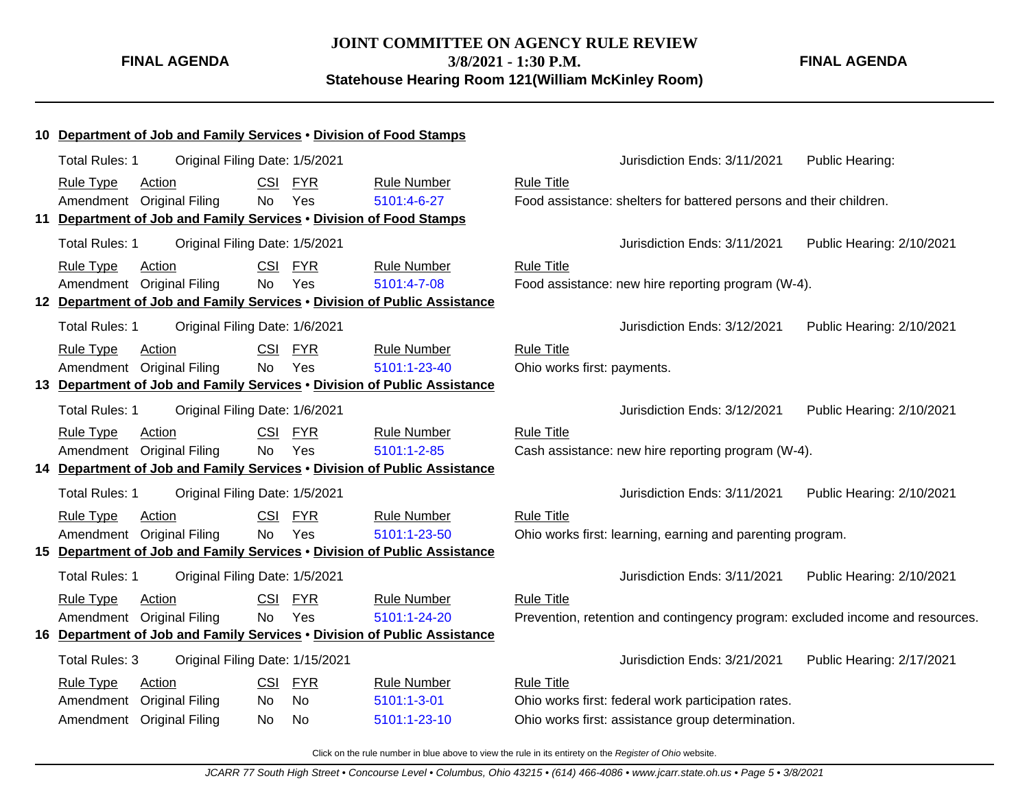**JOINT COMMITTEE ON AGENCY RULE REVIEW 3/8/2021 - 1:30 P.M. Statehouse Hearing Room 121(William McKinley Room)**

**FINAL AGENDA**

|    | 10 Department of Job and Family Services . Division of Food Stamps       |                                 |                    |                                                                               |                           |
|----|--------------------------------------------------------------------------|---------------------------------|--------------------|-------------------------------------------------------------------------------|---------------------------|
|    | <b>Total Rules: 1</b>                                                    | Original Filing Date: 1/5/2021  |                    | Jurisdiction Ends: 3/11/2021                                                  | Public Hearing:           |
|    | Action<br><b>Rule Type</b>                                               | <b>CSI</b><br><b>FYR</b>        | Rule Number        | <b>Rule Title</b>                                                             |                           |
|    | Amendment Original Filing                                                | Yes<br><b>No</b>                | 5101:4-6-27        | Food assistance: shelters for battered persons and their children.            |                           |
| 11 | Department of Job and Family Services . Division of Food Stamps          |                                 |                    |                                                                               |                           |
|    | <b>Total Rules: 1</b>                                                    | Original Filing Date: 1/5/2021  |                    | Jurisdiction Ends: 3/11/2021                                                  | Public Hearing: 2/10/2021 |
|    | <b>Rule Type</b><br><b>Action</b>                                        | <b>CSI</b><br><b>FYR</b>        | <b>Rule Number</b> | <b>Rule Title</b>                                                             |                           |
|    | Amendment Original Filing                                                | Yes<br><b>No</b>                | 5101:4-7-08        | Food assistance: new hire reporting program (W-4).                            |                           |
|    | 12 Department of Job and Family Services . Division of Public Assistance |                                 |                    |                                                                               |                           |
|    | <b>Total Rules: 1</b>                                                    | Original Filing Date: 1/6/2021  |                    | Jurisdiction Ends: 3/12/2021                                                  | Public Hearing: 2/10/2021 |
|    | <b>Rule Type</b><br>Action                                               | CSI<br><b>FYR</b>               | <b>Rule Number</b> | <b>Rule Title</b>                                                             |                           |
|    | Amendment Original Filing                                                | Yes<br><b>No</b>                | 5101:1-23-40       | Ohio works first: payments.                                                   |                           |
| 13 | Department of Job and Family Services . Division of Public Assistance    |                                 |                    |                                                                               |                           |
|    | Total Rules: 1                                                           | Original Filing Date: 1/6/2021  |                    | Jurisdiction Ends: 3/12/2021                                                  | Public Hearing: 2/10/2021 |
|    | <b>Rule Type</b><br>Action                                               | CSI<br><b>FYR</b>               | <b>Rule Number</b> | <b>Rule Title</b>                                                             |                           |
|    | Amendment Original Filing                                                | Yes<br><b>No</b>                | 5101:1-2-85        | Cash assistance: new hire reporting program (W-4).                            |                           |
|    | 14 Department of Job and Family Services . Division of Public Assistance |                                 |                    |                                                                               |                           |
|    | <b>Total Rules: 1</b>                                                    | Original Filing Date: 1/5/2021  |                    | Jurisdiction Ends: 3/11/2021                                                  | Public Hearing: 2/10/2021 |
|    | <b>Rule Type</b><br><b>Action</b>                                        | <b>CSI</b><br>FYR               | <b>Rule Number</b> | <b>Rule Title</b>                                                             |                           |
|    | Amendment Original Filing                                                | Yes<br><b>No</b>                | 5101:1-23-50       | Ohio works first: learning, earning and parenting program.                    |                           |
|    | 15 Department of Job and Family Services . Division of Public Assistance |                                 |                    |                                                                               |                           |
|    | <b>Total Rules: 1</b>                                                    | Original Filing Date: 1/5/2021  |                    | Jurisdiction Ends: 3/11/2021                                                  | Public Hearing: 2/10/2021 |
|    | <b>Rule Type</b><br>Action                                               | CSI<br><b>FYR</b>               | <b>Rule Number</b> | <b>Rule Title</b>                                                             |                           |
|    | Amendment Original Filing                                                | Yes<br>No                       | 5101:1-24-20       | Prevention, retention and contingency program: excluded income and resources. |                           |
|    | 16 Department of Job and Family Services . Division of Public Assistance |                                 |                    |                                                                               |                           |
|    | Total Rules: 3                                                           | Original Filing Date: 1/15/2021 |                    | Jurisdiction Ends: 3/21/2021                                                  | Public Hearing: 2/17/2021 |
|    | <b>Rule Type</b><br>Action                                               | CSI<br><b>FYR</b>               | <b>Rule Number</b> | <b>Rule Title</b>                                                             |                           |
|    | Amendment Original Filing                                                | No<br>No                        | 5101:1-3-01        | Ohio works first: federal work participation rates.                           |                           |
|    | Amendment Original Filing                                                | No<br>No                        | 5101:1-23-10       | Ohio works first: assistance group determination.                             |                           |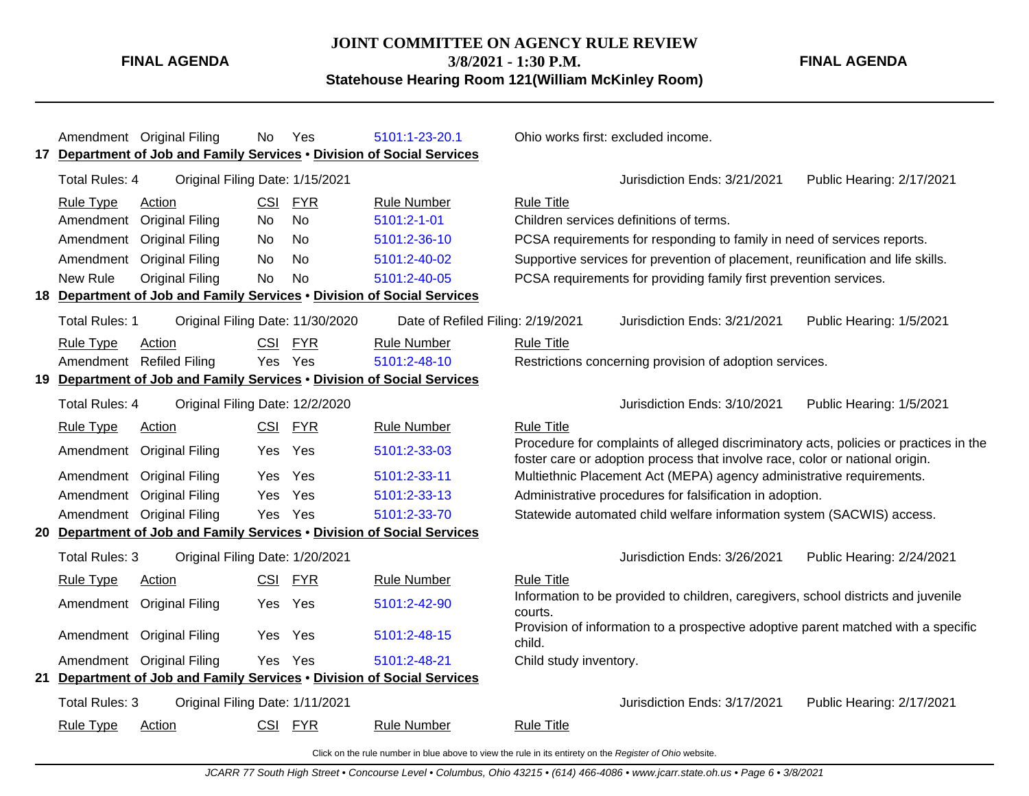**3/8/2021 - 1:30 P.M.**

**Statehouse Hearing Room 121(William McKinley Room)**

Amendment Original Filing No Yes [5101:1-23-20.1](http://www.registerofohio.state.oh.us/jsps/publicdisplayrules/processPublicDisplayRules.jsp?entered_rule_no=5101:1-23-20.1&doWhat=GETBYRULENUM&raID=0) Ohio works first: excluded income. **17 Department of Job and Family Services** • **Division of Social Services** Total Rules: 4 Original Filing Date: 1/15/2021 Jurisdiction Ends: 3/21/2021 Public Hearing: 2/17/2021 Rule Type Action **CSI FYR** Rule Number Rule Title Amendment Original Filing No No [5101:2-1-01](http://www.registerofohio.state.oh.us/jsps/publicdisplayrules/processPublicDisplayRules.jsp?entered_rule_no=5101:2-1-01&doWhat=GETBYRULENUM&raID=0) Children services definitions of terms. Amendment Original Filing No No [5101:2-36-10](http://www.registerofohio.state.oh.us/jsps/publicdisplayrules/processPublicDisplayRules.jsp?entered_rule_no=5101:2-36-10&doWhat=GETBYRULENUM&raID=0) PCSA requirements for responding to family in need of services reports. Amendment Original Filing No No [5101:2-40-02](http://www.registerofohio.state.oh.us/jsps/publicdisplayrules/processPublicDisplayRules.jsp?entered_rule_no=5101:2-40-02&doWhat=GETBYRULENUM&raID=0) Supportive services for prevention of placement, reunification and life skills. New Rule Original Filing No No [5101:2-40-05](http://www.registerofohio.state.oh.us/jsps/publicdisplayrules/processPublicDisplayRules.jsp?entered_rule_no=5101:2-40-05&doWhat=GETBYRULENUM&raID=0) PCSA requirements for providing family first prevention services. **18 Department of Job and Family Services** • **Division of Social Services** Total Rules: 1 Original Filing Date: 11/30/2020 Date of Refiled Filing: 2/19/2021 Jurisdiction Ends: 3/21/2021 Public Hearing: 1/5/2021 Rule Type Action **CSI FYR** Rule Number Rule Title Amendment Refiled Filing Yes Yes [5101:2-48-10](http://www.registerofohio.state.oh.us/jsps/publicdisplayrules/processPublicDisplayRules.jsp?entered_rule_no=5101:2-48-10&doWhat=GETBYRULENUM&raID=0) Restrictions concerning provision of adoption services. **19 Department of Job and Family Services** • **Division of Social Services** Total Rules: 4 Original Filing Date: 12/2/2020 Jurisdiction Ends: 3/10/2021 Public Hearing: 1/5/2021 Rule Type Action CSI FYR Rule Number Rule Title Amendment Original Filing Yes Yes [5101:2-33-03](http://www.registerofohio.state.oh.us/jsps/publicdisplayrules/processPublicDisplayRules.jsp?entered_rule_no=5101:2-33-03&doWhat=GETBYRULENUM&raID=0) Procedure for complaints of alleged discriminatory acts, policies or practices in the foster care or adoption process that involve race, color or national origin. Amendment Original Filing Yes Yes [5101:2-33-11](http://www.registerofohio.state.oh.us/jsps/publicdisplayrules/processPublicDisplayRules.jsp?entered_rule_no=5101:2-33-11&doWhat=GETBYRULENUM&raID=0) Multiethnic Placement Act (MEPA) agency administrative requirements. Amendment Original Filing Yes Yes [5101:2-33-13](http://www.registerofohio.state.oh.us/jsps/publicdisplayrules/processPublicDisplayRules.jsp?entered_rule_no=5101:2-33-13&doWhat=GETBYRULENUM&raID=0) Administrative procedures for falsification in adoption. Amendment Original Filing Yes Yes [5101:2-33-70](http://www.registerofohio.state.oh.us/jsps/publicdisplayrules/processPublicDisplayRules.jsp?entered_rule_no=5101:2-33-70&doWhat=GETBYRULENUM&raID=0) Statewide automated child welfare information system (SACWIS) access. **20 Department of Job and Family Services** • **Division of Social Services** Total Rules: 3 Original Filing Date: 1/20/2021 Jurisdiction Ends: 3/26/2021 Public Hearing: 2/24/2021 Rule Type Action **CSI FYR** Rule Number Rule Title Amendment Original Filing Yes Yes [5101:2-42-90](http://www.registerofohio.state.oh.us/jsps/publicdisplayrules/processPublicDisplayRules.jsp?entered_rule_no=5101:2-42-90&doWhat=GETBYRULENUM&raID=0) Information to be provided to children, caregivers, school districts and juvenile courts. Amendment Original Filing Yes Yes [5101:2-48-15](http://www.registerofohio.state.oh.us/jsps/publicdisplayrules/processPublicDisplayRules.jsp?entered_rule_no=5101:2-48-15&doWhat=GETBYRULENUM&raID=0) Provision of information to a prospective adoptive parent matched with a specific child. Amendment Original Filing Yes Yes [5101:2-48-21](http://www.registerofohio.state.oh.us/jsps/publicdisplayrules/processPublicDisplayRules.jsp?entered_rule_no=5101:2-48-21&doWhat=GETBYRULENUM&raID=0) Child study inventory. **21 Department of Job and Family Services** • **Division of Social Services** Total Rules: 3 Original Filing Date: 1/11/2021 Jurisdiction Ends: 3/17/2021 Public Hearing: 2/17/2021 Rule Type Action **CSI FYR** Rule Number Rule Title

Click on the rule number in blue above to view the rule in its entirety on the Register of Ohio website.

**FINAL AGENDA**

**FINAL AGENDA**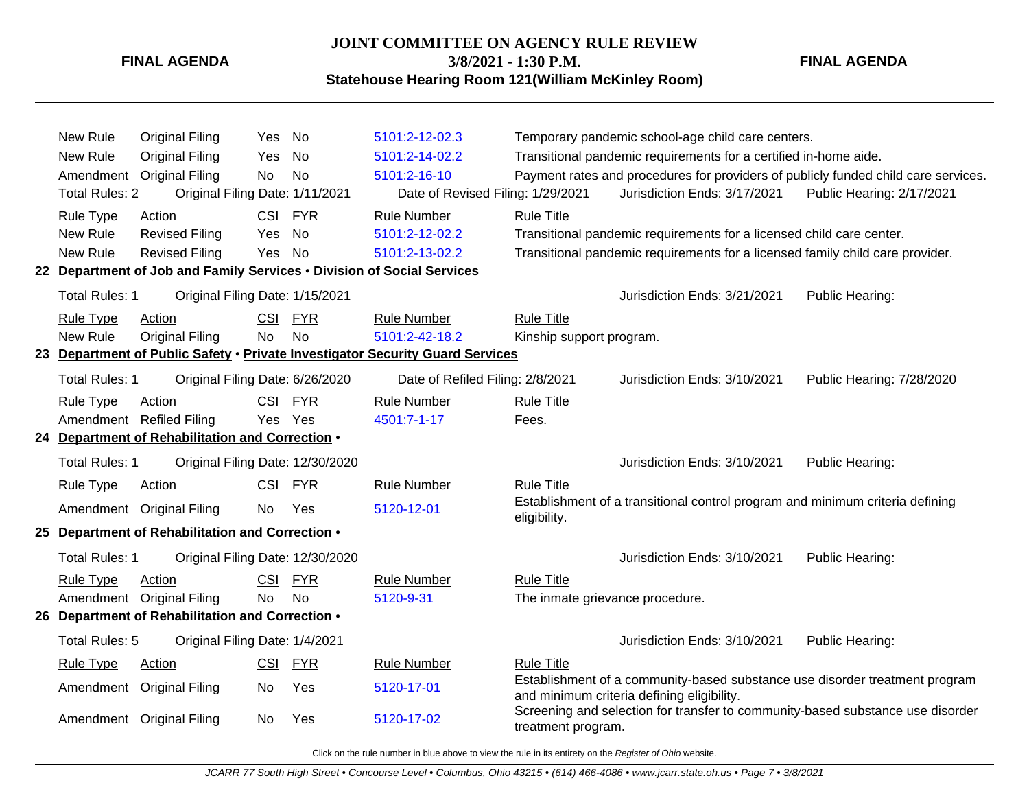#### **JOINT COMMITTEE ON AGENCY RULE REVIEW**

**3/8/2021 - 1:30 P.M.**

**Statehouse Hearing Room 121(William McKinley Room)**

**FINAL AGENDA**

| New Rule<br>New Rule<br><b>Total Rules: 2</b><br><b>Rule Type</b><br>New Rule<br>New Rule | <b>Original Filing</b><br><b>Original Filing</b><br>Amendment Original Filing<br>Original Filing Date: 1/11/2021<br>Action<br><b>Revised Filing</b><br><b>Revised Filing</b> | Yes<br>Yes<br>No<br>Yes<br>Yes | No<br><b>No</b><br><b>No</b><br>CSI FYR<br><b>No</b><br><b>No</b> | 5101:2-12-02.3<br>5101:2-14-02.2<br>5101:2-16-10<br>Date of Revised Filing: 1/29/2021<br><b>Rule Number</b><br>5101:2-12-02.2<br>5101:2-13-02.2 | <b>Rule Title</b>                                    | Temporary pandemic school-age child care centers.<br>Transitional pandemic requirements for a certified in-home aide.<br>Payment rates and procedures for providers of publicly funded child care services.<br>Jurisdiction Ends: 3/17/2021<br>Transitional pandemic requirements for a licensed child care center.<br>Transitional pandemic requirements for a licensed family child care provider. | Public Hearing: 2/17/2021 |
|-------------------------------------------------------------------------------------------|------------------------------------------------------------------------------------------------------------------------------------------------------------------------------|--------------------------------|-------------------------------------------------------------------|-------------------------------------------------------------------------------------------------------------------------------------------------|------------------------------------------------------|------------------------------------------------------------------------------------------------------------------------------------------------------------------------------------------------------------------------------------------------------------------------------------------------------------------------------------------------------------------------------------------------------|---------------------------|
|                                                                                           | 22 Department of Job and Family Services . Division of Social Services                                                                                                       |                                |                                                                   |                                                                                                                                                 |                                                      |                                                                                                                                                                                                                                                                                                                                                                                                      |                           |
| <b>Total Rules: 1</b>                                                                     | Original Filing Date: 1/15/2021                                                                                                                                              |                                |                                                                   |                                                                                                                                                 |                                                      | Jurisdiction Ends: 3/21/2021                                                                                                                                                                                                                                                                                                                                                                         | Public Hearing:           |
| <b>Rule Type</b><br>New Rule                                                              | Action<br><b>Original Filing</b>                                                                                                                                             | <b>CSI</b><br><b>No</b>        | <b>FYR</b><br><b>No</b>                                           | <b>Rule Number</b><br>5101:2-42-18.2<br>23 Department of Public Safety . Private Investigator Security Guard Services                           | <b>Rule Title</b><br>Kinship support program.        |                                                                                                                                                                                                                                                                                                                                                                                                      |                           |
| <b>Total Rules: 1</b>                                                                     | Original Filing Date: 6/26/2020                                                                                                                                              |                                |                                                                   | Date of Refiled Filing: 2/8/2021                                                                                                                |                                                      | Jurisdiction Ends: 3/10/2021                                                                                                                                                                                                                                                                                                                                                                         | Public Hearing: 7/28/2020 |
| <b>Rule Type</b>                                                                          | Action<br>Amendment Refiled Filing<br>24 Department of Rehabilitation and Correction .                                                                                       | <b>CSI</b><br>Yes              | <b>FYR</b><br>Yes                                                 | <b>Rule Number</b><br>4501:7-1-17                                                                                                               | <b>Rule Title</b><br>Fees.                           |                                                                                                                                                                                                                                                                                                                                                                                                      |                           |
| <b>Total Rules: 1</b>                                                                     | Original Filing Date: 12/30/2020                                                                                                                                             |                                |                                                                   |                                                                                                                                                 |                                                      | Jurisdiction Ends: 3/10/2021                                                                                                                                                                                                                                                                                                                                                                         | Public Hearing:           |
| <b>Rule Type</b>                                                                          | Action                                                                                                                                                                       | <b>CSI</b>                     | <b>FYR</b>                                                        | <b>Rule Number</b>                                                                                                                              | <b>Rule Title</b>                                    |                                                                                                                                                                                                                                                                                                                                                                                                      |                           |
|                                                                                           | Amendment Original Filing                                                                                                                                                    | No                             | Yes                                                               | 5120-12-01                                                                                                                                      | eligibility.                                         | Establishment of a transitional control program and minimum criteria defining                                                                                                                                                                                                                                                                                                                        |                           |
|                                                                                           | 25 Department of Rehabilitation and Correction .                                                                                                                             |                                |                                                                   |                                                                                                                                                 |                                                      |                                                                                                                                                                                                                                                                                                                                                                                                      |                           |
| <b>Total Rules: 1</b>                                                                     | Original Filing Date: 12/30/2020                                                                                                                                             |                                |                                                                   |                                                                                                                                                 |                                                      | Jurisdiction Ends: 3/10/2021                                                                                                                                                                                                                                                                                                                                                                         | Public Hearing:           |
| <b>Rule Type</b>                                                                          | Action<br>Amendment Original Filing<br>26 Department of Rehabilitation and Correction .                                                                                      | <b>CSI</b><br><b>No</b>        | <b>FYR</b><br><b>No</b>                                           | <b>Rule Number</b><br>5120-9-31                                                                                                                 | <b>Rule Title</b><br>The inmate grievance procedure. |                                                                                                                                                                                                                                                                                                                                                                                                      |                           |
| Total Rules: 5                                                                            | Original Filing Date: 1/4/2021                                                                                                                                               |                                |                                                                   |                                                                                                                                                 |                                                      | Jurisdiction Ends: 3/10/2021                                                                                                                                                                                                                                                                                                                                                                         | Public Hearing:           |
| <b>Rule Type</b>                                                                          | Action<br>Amendment Original Filing<br>Amendment Original Filing                                                                                                             | <b>CSI</b><br>No<br>No         | <b>FYR</b><br>Yes<br>Yes                                          | <b>Rule Number</b><br>5120-17-01<br>5120-17-02                                                                                                  | <b>Rule Title</b>                                    | Establishment of a community-based substance use disorder treatment program<br>and minimum criteria defining eligibility.<br>Screening and selection for transfer to community-based substance use disorder                                                                                                                                                                                          |                           |
|                                                                                           |                                                                                                                                                                              |                                |                                                                   |                                                                                                                                                 | treatment program.                                   |                                                                                                                                                                                                                                                                                                                                                                                                      |                           |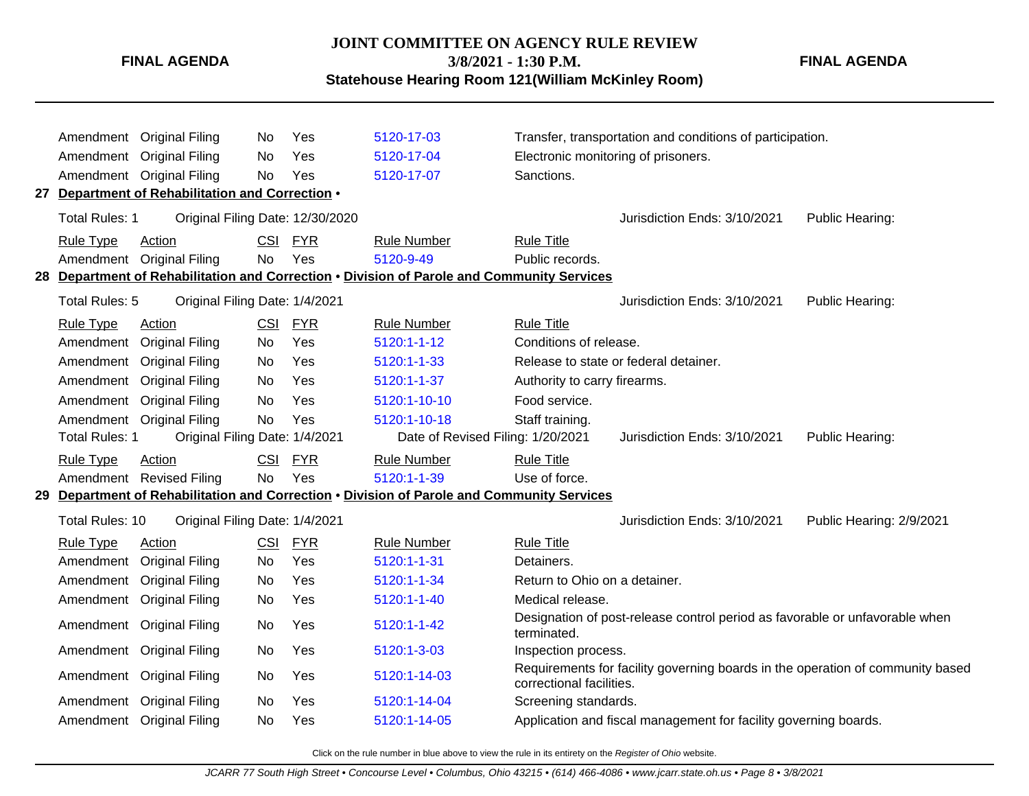### **JOINT COMMITTEE ON AGENCY RULE REVIEW 3/8/2021 - 1:30 P.M.**

**FINAL AGENDA**

**Statehouse Hearing Room 121(William McKinley Room)**

|                       | Amendment Original Filing                        | No.        | Yes        | 5120-17-03                                                                                 |                               | Transfer, transportation and conditions of participation.                      |                          |
|-----------------------|--------------------------------------------------|------------|------------|--------------------------------------------------------------------------------------------|-------------------------------|--------------------------------------------------------------------------------|--------------------------|
| Amendment             | <b>Original Filing</b>                           | No         | Yes        | 5120-17-04                                                                                 |                               | Electronic monitoring of prisoners.                                            |                          |
| Amendment             | <b>Original Filing</b>                           | No         | Yes        | 5120-17-07                                                                                 | Sanctions.                    |                                                                                |                          |
|                       | 27 Department of Rehabilitation and Correction . |            |            |                                                                                            |                               |                                                                                |                          |
| <b>Total Rules: 1</b> | Original Filing Date: 12/30/2020                 |            |            |                                                                                            |                               | Jurisdiction Ends: 3/10/2021                                                   | Public Hearing:          |
| <b>Rule Type</b>      | Action                                           | CSI        | <b>FYR</b> | <b>Rule Number</b>                                                                         | <b>Rule Title</b>             |                                                                                |                          |
| Amendment             | <b>Original Filing</b>                           | <b>No</b>  | Yes        | 5120-9-49                                                                                  | Public records.               |                                                                                |                          |
|                       |                                                  |            |            | 28 Department of Rehabilitation and Correction . Division of Parole and Community Services |                               |                                                                                |                          |
| Total Rules: 5        | Original Filing Date: 1/4/2021                   |            |            |                                                                                            |                               | Jurisdiction Ends: 3/10/2021                                                   | Public Hearing:          |
| <b>Rule Type</b>      | Action                                           | CSI        | <b>FYR</b> | <b>Rule Number</b>                                                                         | <b>Rule Title</b>             |                                                                                |                          |
| Amendment             | <b>Original Filing</b>                           | No         | Yes        | 5120:1-1-12                                                                                | Conditions of release.        |                                                                                |                          |
| Amendment             | <b>Original Filing</b>                           | No         | Yes        | 5120:1-1-33                                                                                |                               | Release to state or federal detainer.                                          |                          |
| Amendment             | <b>Original Filing</b>                           | No         | Yes        | 5120:1-1-37                                                                                | Authority to carry firearms.  |                                                                                |                          |
| Amendment             | <b>Original Filing</b>                           | No         | Yes        | 5120:1-10-10                                                                               | Food service.                 |                                                                                |                          |
| Amendment             | <b>Original Filing</b>                           | No         | Yes        | 5120:1-10-18                                                                               | Staff training.               |                                                                                |                          |
| <b>Total Rules: 1</b> | Original Filing Date: 1/4/2021                   |            |            | Date of Revised Filing: 1/20/2021                                                          |                               | Jurisdiction Ends: 3/10/2021                                                   | Public Hearing:          |
| <b>Rule Type</b>      | Action                                           | <b>CSI</b> | <b>FYR</b> | <b>Rule Number</b>                                                                         | <b>Rule Title</b>             |                                                                                |                          |
|                       | Amendment Revised Filing                         | No         | Yes        | 5120:1-1-39                                                                                | Use of force.                 |                                                                                |                          |
|                       |                                                  |            |            | 29 Department of Rehabilitation and Correction . Division of Parole and Community Services |                               |                                                                                |                          |
| Total Rules: 10       | Original Filing Date: 1/4/2021                   |            |            |                                                                                            |                               | Jurisdiction Ends: 3/10/2021                                                   | Public Hearing: 2/9/2021 |
| <b>Rule Type</b>      | Action                                           | CSI        | <b>FYR</b> | <b>Rule Number</b>                                                                         | <b>Rule Title</b>             |                                                                                |                          |
| Amendment             | <b>Original Filing</b>                           | No         | Yes        | 5120:1-1-31                                                                                | Detainers.                    |                                                                                |                          |
| Amendment             | <b>Original Filing</b>                           | No         | Yes        | 5120:1-1-34                                                                                | Return to Ohio on a detainer. |                                                                                |                          |
| Amendment             | <b>Original Filing</b>                           | No         | Yes        | 5120:1-1-40                                                                                | Medical release.              |                                                                                |                          |
| Amendment             | <b>Original Filing</b>                           | No         | Yes        | 5120:1-1-42                                                                                | terminated.                   | Designation of post-release control period as favorable or unfavorable when    |                          |
| Amendment             | <b>Original Filing</b>                           | No         | Yes        | 5120:1-3-03                                                                                | Inspection process.           |                                                                                |                          |
| Amendment             | <b>Original Filing</b>                           | No         | Yes        | 5120:1-14-03                                                                               | correctional facilities.      | Requirements for facility governing boards in the operation of community based |                          |
| Amendment             | <b>Original Filing</b>                           | No         | Yes        | 5120:1-14-04                                                                               | Screening standards.          |                                                                                |                          |
|                       | Amendment Original Filing                        | No         | Yes        | 5120:1-14-05                                                                               |                               | Application and fiscal management for facility governing boards.               |                          |
|                       |                                                  |            |            |                                                                                            |                               |                                                                                |                          |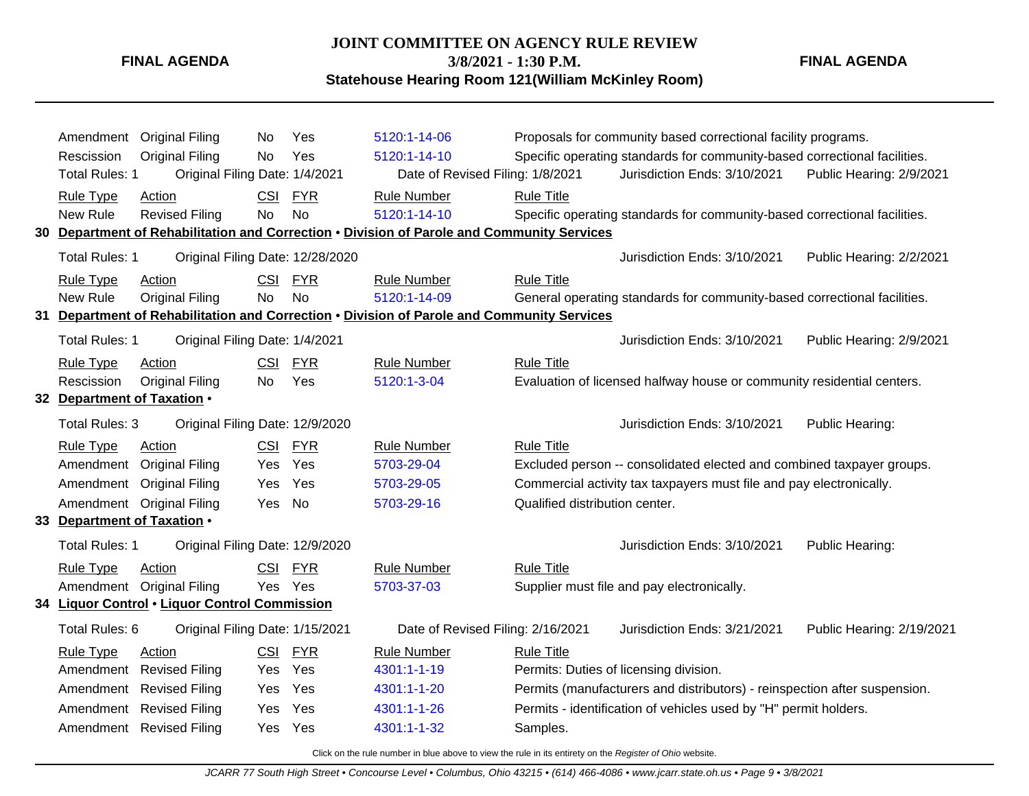#### **JOINT COMMITTEE ON AGENCY RULE REVIEW**

**3/8/2021 - 1:30 P.M.**

**Statehouse Hearing Room 121(William McKinley Room)**

**FINAL AGENDA**

Amendment Original Filing No Yes [5120:1-14-06](http://www.registerofohio.state.oh.us/jsps/publicdisplayrules/processPublicDisplayRules.jsp?entered_rule_no=5120:1-14-06&doWhat=GETBYRULENUM&raID=0) Proposals for community based correctional facility programs. Rescission Original Filing No Yes [5120:1-14-10](http://www.registerofohio.state.oh.us/jsps/publicdisplayrules/processPublicDisplayRules.jsp?entered_rule_no=5120:1-14-10&doWhat=GETBYRULENUM&raID=0) Specific operating standards for community-based correctional facilities. Total Rules: 1 Original Filing Date: 1/4/2021 Date of Revised Filing: 1/8/2021 Jurisdiction Ends: 3/10/2021 Public Hearing: 2/9/2021 Rule Type Action **CSI FYR** Rule Number Rule Title New Rule Revised Filing No No [5120:1-14-10](http://www.registerofohio.state.oh.us/jsps/publicdisplayrules/processPublicDisplayRules.jsp?entered_rule_no=5120:1-14-10&doWhat=GETBYRULENUM&raID=0) Specific operating standards for community-based correctional facilities. **30 Department of Rehabilitation and Correction** • **Division of Parole and Community Services** Total Rules: 1 Original Filing Date: 12/28/2020 Jurisdiction Ends: 3/10/2021 Public Hearing: 2/2/2021 Rule Type Action **CSI FYR** Rule Number Rule Title New Rule Original Filing No No [5120:1-14-09](http://www.registerofohio.state.oh.us/jsps/publicdisplayrules/processPublicDisplayRules.jsp?entered_rule_no=5120:1-14-09&doWhat=GETBYRULENUM&raID=0) General operating standards for community-based correctional facilities. **31 Department of Rehabilitation and Correction** • **Division of Parole and Community Services** Total Rules: 1 Original Filing Date: 1/4/2021 Jurisdiction Ends: 3/10/2021 Public Hearing: 2/9/2021 Rule Type Action **CSI FYR** Rule Number Rule Title Rescission Original Filing No Yes [5120:1-3-04](http://www.registerofohio.state.oh.us/jsps/publicdisplayrules/processPublicDisplayRules.jsp?entered_rule_no=5120:1-3-04&doWhat=GETBYRULENUM&raID=0) Evaluation of licensed halfway house or community residential centers. **32 Department of Taxation** • Total Rules: 3 Original Filing Date: 12/9/2020 Jurisdiction Ends: 3/10/2021 Public Hearing: Rule Type Action **CSI FYR** Rule Number Rule Title Amendment Original Filing Yes Yes [5703-29-04](http://www.registerofohio.state.oh.us/jsps/publicdisplayrules/processPublicDisplayRules.jsp?entered_rule_no=5703-29-04&doWhat=GETBYRULENUM&raID=0) Excluded person -- consolidated elected and combined taxpayer groups. Amendment Original Filing Yes Yes [5703-29-05](http://www.registerofohio.state.oh.us/jsps/publicdisplayrules/processPublicDisplayRules.jsp?entered_rule_no=5703-29-05&doWhat=GETBYRULENUM&raID=0) Commercial activity tax taxpayers must file and pay electronically. Amendment Original Filing Yes No [5703-29-16](http://www.registerofohio.state.oh.us/jsps/publicdisplayrules/processPublicDisplayRules.jsp?entered_rule_no=5703-29-16&doWhat=GETBYRULENUM&raID=0) Qualified distribution center. **33 Department of Taxation** • Total Rules: 1 Original Filing Date: 12/9/2020 **Jurisdiction Ends: 3/10/2021** Public Hearing: Rule Type Action CSI FYR Rule Number Rule Title Amendment Original Filing Yes Yes [5703-37-03](http://www.registerofohio.state.oh.us/jsps/publicdisplayrules/processPublicDisplayRules.jsp?entered_rule_no=5703-37-03&doWhat=GETBYRULENUM&raID=0) Supplier must file and pay electronically. **34 Liquor Control** • **Liquor Control Commission** Total Rules: 6 Original Filing Date: 1/15/2021 Date of Revised Filing: 2/16/2021 Jurisdiction Ends: 3/21/2021 Public Hearing: 2/19/2021 Rule Type Action **CSI FYR** Rule Number Rule Title Amendment Revised Filing Yes Yes [4301:1-1-19](http://www.registerofohio.state.oh.us/jsps/publicdisplayrules/processPublicDisplayRules.jsp?entered_rule_no=4301:1-1-19&doWhat=GETBYRULENUM&raID=0) Permits: Duties of licensing division. Amendment Revised Filing Yes Yes [4301:1-1-20](http://www.registerofohio.state.oh.us/jsps/publicdisplayrules/processPublicDisplayRules.jsp?entered_rule_no=4301:1-1-20&doWhat=GETBYRULENUM&raID=0) Permits (manufacturers and distributors) - reinspection after suspension. Amendment Revised Filing Yes Yes [4301:1-1-26](http://www.registerofohio.state.oh.us/jsps/publicdisplayrules/processPublicDisplayRules.jsp?entered_rule_no=4301:1-1-26&doWhat=GETBYRULENUM&raID=0) Permits - identification of vehicles used by "H" permit holders. Amendment Revised Filing Yes Yes [4301:1-1-32](http://www.registerofohio.state.oh.us/jsps/publicdisplayrules/processPublicDisplayRules.jsp?entered_rule_no=4301:1-1-32&doWhat=GETBYRULENUM&raID=0) Samples.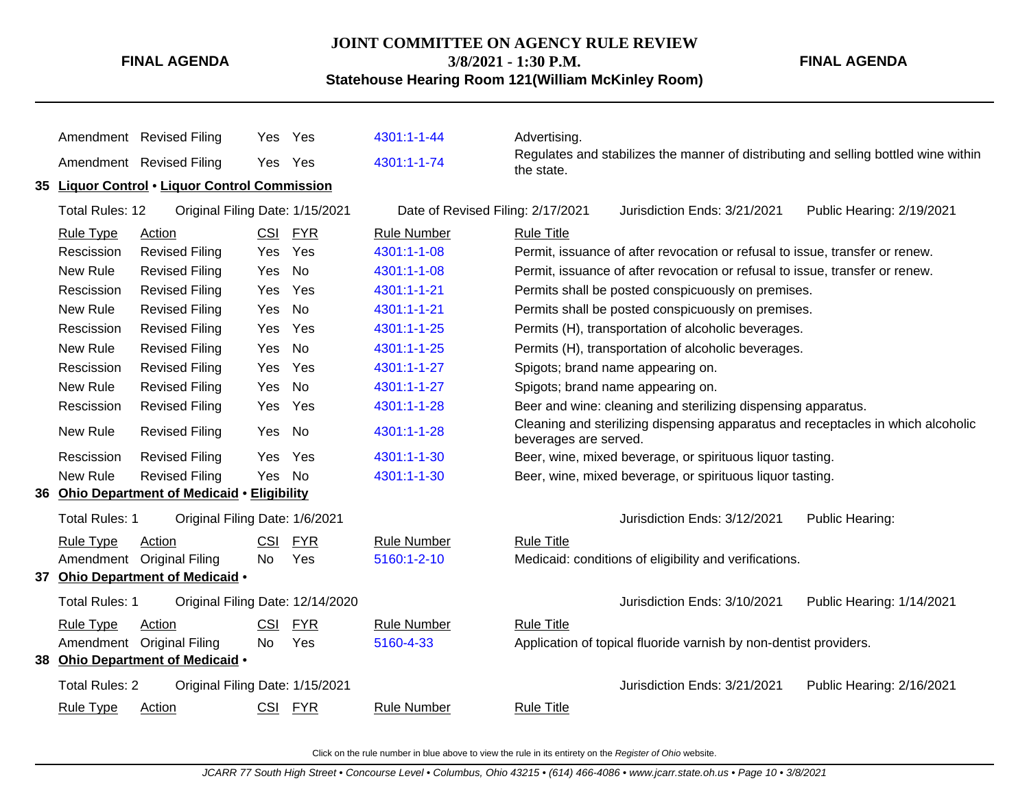#### **JOINT COMMITTEE ON AGENCY RULE REVIEW 3/8/2021 - 1:30 P.M.**

**Statehouse Hearing Room 121(William McKinley Room)**

**FINAL AGENDA**

Amendment Revised Filing Yes Yes [4301:1-1-44](http://www.registerofohio.state.oh.us/jsps/publicdisplayrules/processPublicDisplayRules.jsp?entered_rule_no=4301:1-1-44&doWhat=GETBYRULENUM&raID=0) Advertising. Amendment Revised Filing Yes Yes [4301:1-1-74](http://www.registerofohio.state.oh.us/jsps/publicdisplayrules/processPublicDisplayRules.jsp?entered_rule_no=4301:1-1-74&doWhat=GETBYRULENUM&raID=0) Regulates and stabilizes the manner of distributing and selling bottled wine within the state. **35 Liquor Control** • **Liquor Control Commission** Total Rules: 12 Original Filing Date: 1/15/2021 Date of Revised Filing: 2/17/2021 Jurisdiction Ends: 3/21/2021 Public Hearing: 2/19/2021 Rule Type Action **CSI FYR** Rule Number Rule Title Rescission Revised Filing Yes Yes [4301:1-1-08](http://www.registerofohio.state.oh.us/jsps/publicdisplayrules/processPublicDisplayRules.jsp?entered_rule_no=4301:1-1-08&doWhat=GETBYRULENUM&raID=0) Permit, issuance of after revocation or refusal to issue, transfer or renew. New Rule Revised Filing Yes No [4301:1-1-08](http://www.registerofohio.state.oh.us/jsps/publicdisplayrules/processPublicDisplayRules.jsp?entered_rule_no=4301:1-1-08&doWhat=GETBYRULENUM&raID=0) Permit, issuance of after revocation or refusal to issue, transfer or renew. Rescission Revised Filing Yes Yes [4301:1-1-21](http://www.registerofohio.state.oh.us/jsps/publicdisplayrules/processPublicDisplayRules.jsp?entered_rule_no=4301:1-1-21&doWhat=GETBYRULENUM&raID=0) Permits shall be posted conspicuously on premises. New Rule Revised Filing Yes No [4301:1-1-21](http://www.registerofohio.state.oh.us/jsps/publicdisplayrules/processPublicDisplayRules.jsp?entered_rule_no=4301:1-1-21&doWhat=GETBYRULENUM&raID=0) Permits shall be posted conspicuously on premises. Rescission Revised Filing Yes Yes [4301:1-1-25](http://www.registerofohio.state.oh.us/jsps/publicdisplayrules/processPublicDisplayRules.jsp?entered_rule_no=4301:1-1-25&doWhat=GETBYRULENUM&raID=0) Permits (H), transportation of alcoholic beverages. New Rule Revised Filing Yes No [4301:1-1-25](http://www.registerofohio.state.oh.us/jsps/publicdisplayrules/processPublicDisplayRules.jsp?entered_rule_no=4301:1-1-25&doWhat=GETBYRULENUM&raID=0) Permits (H), transportation of alcoholic beverages. Rescission Revised Filing Yes Yes [4301:1-1-27](http://www.registerofohio.state.oh.us/jsps/publicdisplayrules/processPublicDisplayRules.jsp?entered_rule_no=4301:1-1-27&doWhat=GETBYRULENUM&raID=0) Spigots; brand name appearing on. New Rule Revised Filing Yes No [4301:1-1-27](http://www.registerofohio.state.oh.us/jsps/publicdisplayrules/processPublicDisplayRules.jsp?entered_rule_no=4301:1-1-27&doWhat=GETBYRULENUM&raID=0) Spigots; brand name appearing on. Rescission Revised Filing Yes Yes [4301:1-1-28](http://www.registerofohio.state.oh.us/jsps/publicdisplayrules/processPublicDisplayRules.jsp?entered_rule_no=4301:1-1-28&doWhat=GETBYRULENUM&raID=0) Beer and wine: cleaning and sterilizing dispensing apparatus. New Rule Revised Filing Yes No [4301:1-1-28](http://www.registerofohio.state.oh.us/jsps/publicdisplayrules/processPublicDisplayRules.jsp?entered_rule_no=4301:1-1-28&doWhat=GETBYRULENUM&raID=0) Cleaning and sterilizing dispensing apparatus and receptacles in which alcoholic beverages are served. Rescission Revised Filing Yes Yes [4301:1-1-30](http://www.registerofohio.state.oh.us/jsps/publicdisplayrules/processPublicDisplayRules.jsp?entered_rule_no=4301:1-1-30&doWhat=GETBYRULENUM&raID=0) Beer, wine, mixed beverage, or spirituous liquor tasting. New Rule Revised Filing Yes No [4301:1-1-30](http://www.registerofohio.state.oh.us/jsps/publicdisplayrules/processPublicDisplayRules.jsp?entered_rule_no=4301:1-1-30&doWhat=GETBYRULENUM&raID=0) Beer, wine, mixed beverage, or spirituous liquor tasting. **36 Ohio Department of Medicaid** • **Eligibility** Total Rules: 1 Original Filing Date: 1/6/2021 **Contact Contact Act Contact Contact Contact Contact Contact Public Hearing:** Rule Type Action **CSI FYR** Rule Number Rule Title Amendment Original Filing No Yes [5160:1-2-10](http://www.registerofohio.state.oh.us/jsps/publicdisplayrules/processPublicDisplayRules.jsp?entered_rule_no=5160:1-2-10&doWhat=GETBYRULENUM&raID=0) Medicaid: conditions of eligibility and verifications. **37 Ohio Department of Medicaid** • Total Rules: 1 Original Filing Date: 12/14/2020 Jurisdiction Ends: 3/10/2021 Public Hearing: 1/14/2021 Rule Type Action **CSI FYR** Rule Number Rule Title Amendment Original Filing No Yes [5160-4-33](http://www.registerofohio.state.oh.us/jsps/publicdisplayrules/processPublicDisplayRules.jsp?entered_rule_no=5160-4-33&doWhat=GETBYRULENUM&raID=0) Application of topical fluoride varnish by non-dentist providers. **38 Ohio Department of Medicaid** • Total Rules: 2 Original Filing Date: 1/15/2021 Jurisdiction Ends: 3/21/2021 Public Hearing: 2/16/2021 Rule Type Action **CSI FYR** Rule Number Rule Title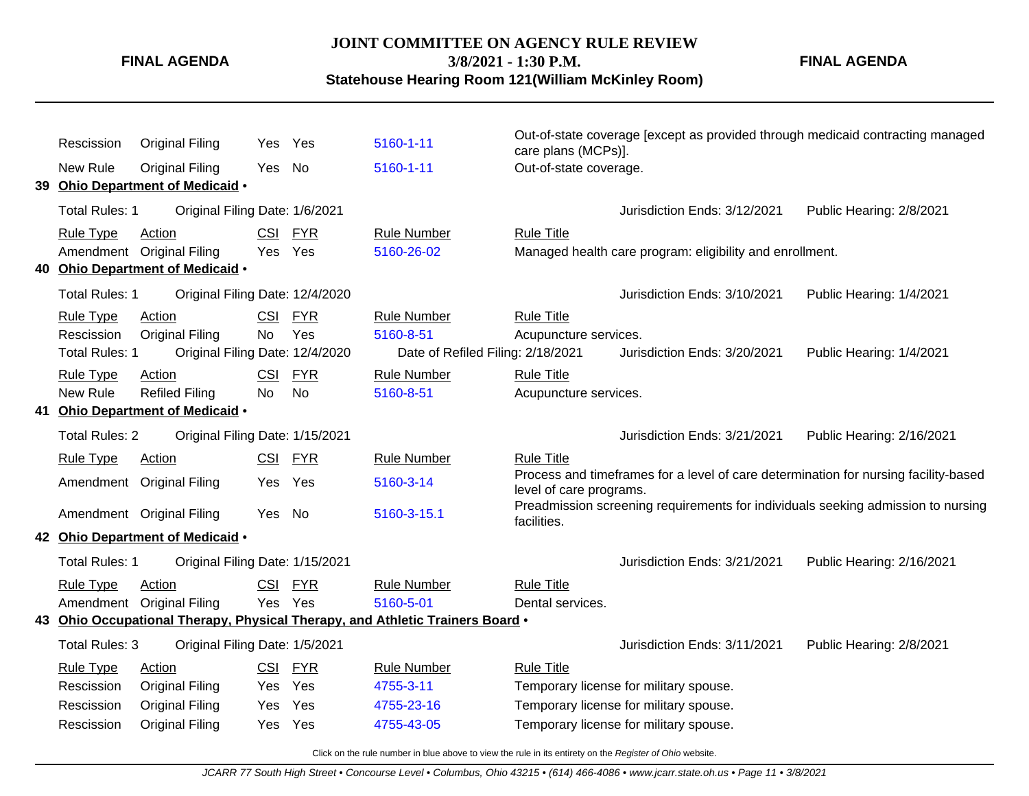**FINAL AGENDA**

**3/8/2021 - 1:30 P.M.**

**Statehouse Hearing Room 121(William McKinley Room)**

Rescission Original Filing Yes Yes [5160-1-11](http://www.registerofohio.state.oh.us/jsps/publicdisplayrules/processPublicDisplayRules.jsp?entered_rule_no=5160-1-11&doWhat=GETBYRULENUM&raID=0) Out-of-state coverage [except as provided through medicaid contracting managed care plans (MCPs)]. New Rule Original Filing Yes No [5160-1-11](http://www.registerofohio.state.oh.us/jsps/publicdisplayrules/processPublicDisplayRules.jsp?entered_rule_no=5160-1-11&doWhat=GETBYRULENUM&raID=0) Out-of-state coverage. **39 Ohio Department of Medicaid** • Total Rules: 1 Original Filing Date: 1/6/2021 **Contained Accord Public Heart 2001** Jurisdiction Ends: 3/12/2021 Public Hearing: 2/8/2021 Rule Type Action **CSI FYR** Rule Number Rule Title Amendment Original Filing Yes Yes [5160-26-02](http://www.registerofohio.state.oh.us/jsps/publicdisplayrules/processPublicDisplayRules.jsp?entered_rule_no=5160-26-02&doWhat=GETBYRULENUM&raID=0) Managed health care program: eligibility and enrollment. **40 Ohio Department of Medicaid** • Total Rules: 1 Original Filing Date: 12/4/2020 Jurisdiction Ends: 3/10/2021 Public Hearing: 1/4/2021 Rule Type Action CSI FYR Rule Number Rule Title Rescission Original Filing No Yes [5160-8-51](http://www.registerofohio.state.oh.us/jsps/publicdisplayrules/processPublicDisplayRules.jsp?entered_rule_no=5160-8-51&doWhat=GETBYRULENUM&raID=0) Acupuncture services. Total Rules: 1 Original Filing Date: 12/4/2020 Date of Refiled Filing: 2/18/2021 Jurisdiction Ends: 3/20/2021 Public Hearing: 1/4/2021 Rule Type Action **CSI FYR** Rule Number Rule Title New Rule Refiled Filing No No [5160-8-51](http://www.registerofohio.state.oh.us/jsps/publicdisplayrules/processPublicDisplayRules.jsp?entered_rule_no=5160-8-51&doWhat=GETBYRULENUM&raID=0) Acupuncture services. **41 Ohio Department of Medicaid** • Total Rules: 2 Original Filing Date: 1/15/2021 Jurisdiction Ends: 3/21/2021 Public Hearing: 2/16/2021 Rule Type Action **CSI FYR** Rule Number Rule Title Amendment Original Filing Yes Yes [5160-3-14](http://www.registerofohio.state.oh.us/jsps/publicdisplayrules/processPublicDisplayRules.jsp?entered_rule_no=5160-3-14&doWhat=GETBYRULENUM&raID=0) Process and timeframes for a level of care determination for nursing facility-based level of care programs. Amendment Original Filing Yes No [5160-3-15.1](http://www.registerofohio.state.oh.us/jsps/publicdisplayrules/processPublicDisplayRules.jsp?entered_rule_no=5160-3-15.1&doWhat=GETBYRULENUM&raID=0) Preadmission screening requirements for individuals seeking admission to nursing facilities. **42 Ohio Department of Medicaid** • Total Rules: 1 Original Filing Date: 1/15/2021 <br>
Jurisdiction Ends: 3/21/2021 Public Hearing: 2/16/2021 Rule Type Action **CSI FYR** Rule Number Rule Title Amendment Original Filing Yes Yes [5160-5-01](http://www.registerofohio.state.oh.us/jsps/publicdisplayrules/processPublicDisplayRules.jsp?entered_rule_no=5160-5-01&doWhat=GETBYRULENUM&raID=0) Dental services. **43 Ohio Occupational Therapy, Physical Therapy, and Athletic Trainers Board** • Total Rules: 3 Original Filing Date: 1/5/2021 Jurisdiction Ends: 3/11/2021 Public Hearing: 2/8/2021 Rule Type Action **CSI FYR** Rule Number Rule Title Rescission Original Filing Yes Yes [4755-3-11](http://www.registerofohio.state.oh.us/jsps/publicdisplayrules/processPublicDisplayRules.jsp?entered_rule_no=4755-3-11&doWhat=GETBYRULENUM&raID=0) Temporary license for military spouse. Rescission Original Filing Yes Yes [4755-23-16](http://www.registerofohio.state.oh.us/jsps/publicdisplayrules/processPublicDisplayRules.jsp?entered_rule_no=4755-23-16&doWhat=GETBYRULENUM&raID=0) Temporary license for military spouse. Rescission Original Filing Yes Yes [4755-43-05](http://www.registerofohio.state.oh.us/jsps/publicdisplayrules/processPublicDisplayRules.jsp?entered_rule_no=4755-43-05&doWhat=GETBYRULENUM&raID=0) Temporary license for military spouse.

Click on the rule number in blue above to view the rule in its entirety on the Register of Ohio website.

**FINAL AGENDA**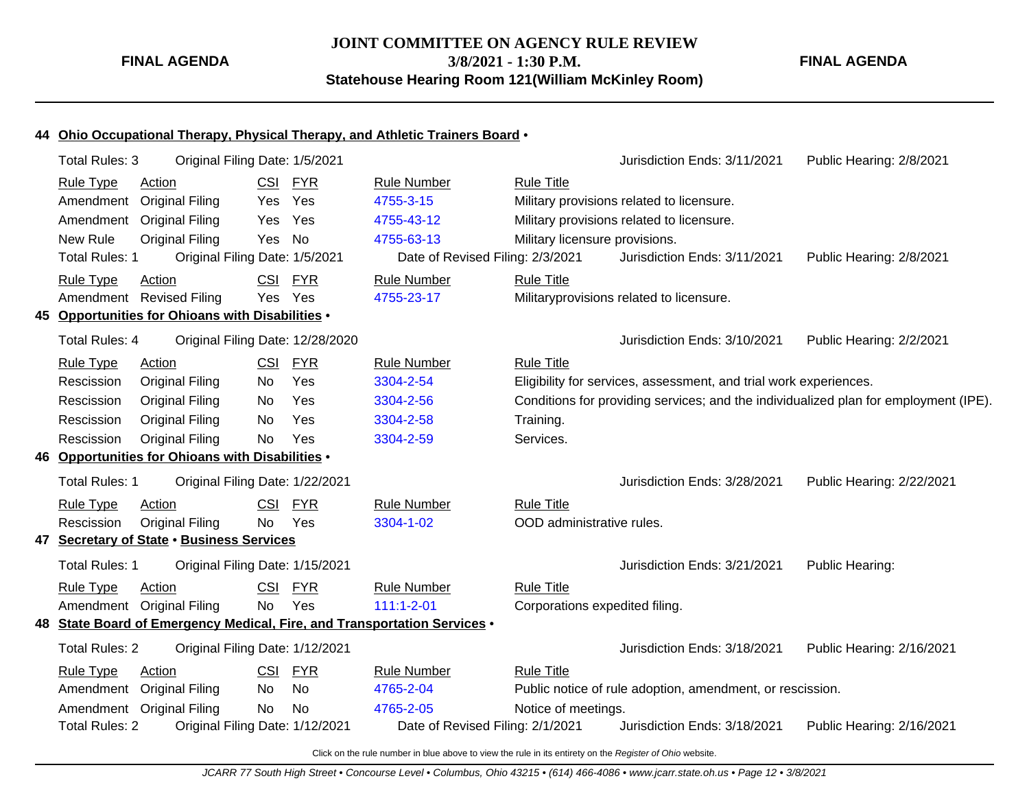**JOINT COMMITTEE ON AGENCY RULE REVIEW 3/8/2021 - 1:30 P.M.**

**FINAL AGENDA**

**Statehouse Hearing Room 121(William McKinley Room)**

#### **44 Ohio Occupational Therapy, Physical Therapy, and Athletic Trainers Board** •

| <b>Rule Type</b><br><b>CSI</b><br><b>FYR</b><br><b>Rule Number</b><br><b>Rule Title</b><br>Action<br>Yes<br>4755-3-15<br>Amendment<br><b>Original Filing</b><br>Military provisions related to licensure.<br>Yes<br>Yes<br><b>Original Filing</b><br>4755-43-12<br>Military provisions related to licensure.<br>Amendment<br>Yes<br><b>New Rule</b><br><b>No</b><br>Yes<br>4755-63-13 |  |
|---------------------------------------------------------------------------------------------------------------------------------------------------------------------------------------------------------------------------------------------------------------------------------------------------------------------------------------------------------------------------------------|--|
|                                                                                                                                                                                                                                                                                                                                                                                       |  |
|                                                                                                                                                                                                                                                                                                                                                                                       |  |
|                                                                                                                                                                                                                                                                                                                                                                                       |  |
| <b>Original Filing</b><br>Military licensure provisions.                                                                                                                                                                                                                                                                                                                              |  |
| <b>Total Rules: 1</b><br>Original Filing Date: 1/5/2021<br>Date of Revised Filing: 2/3/2021<br>Jurisdiction Ends: 3/11/2021<br>Public Hearing: 2/8/2021                                                                                                                                                                                                                               |  |
| <b>FYR</b><br><b>Rule Title</b><br><b>Rule Type</b><br>CSI<br><b>Rule Number</b><br>Action                                                                                                                                                                                                                                                                                            |  |
| Yes Yes<br>Amendment<br><b>Revised Filing</b><br>4755-23-17<br>Militaryprovisions related to licensure.                                                                                                                                                                                                                                                                               |  |
| Opportunities for Ohioans with Disabilities .<br>45.                                                                                                                                                                                                                                                                                                                                  |  |
| <b>Total Rules: 4</b><br>Original Filing Date: 12/28/2020<br>Jurisdiction Ends: 3/10/2021<br>Public Hearing: 2/2/2021                                                                                                                                                                                                                                                                 |  |
| <b>CSI</b><br><b>FYR</b><br><b>Rule Title</b><br><b>Rule Type</b><br>Action<br><b>Rule Number</b>                                                                                                                                                                                                                                                                                     |  |
| Yes<br><b>Original Filing</b><br>3304-2-54<br>Rescission<br>Eligibility for services, assessment, and trial work experiences.<br>No                                                                                                                                                                                                                                                   |  |
| Conditions for providing services; and the individualized plan for employment (IPE).<br>Rescission<br><b>Original Filing</b><br>Yes<br>No<br>3304-2-56                                                                                                                                                                                                                                |  |
| Yes<br><b>Original Filing</b><br>No<br>3304-2-58<br>Rescission<br>Training.                                                                                                                                                                                                                                                                                                           |  |
| Rescission<br><b>Original Filing</b><br><b>No</b><br>Yes<br>3304-2-59<br>Services.                                                                                                                                                                                                                                                                                                    |  |
| 46 Opportunities for Ohioans with Disabilities .                                                                                                                                                                                                                                                                                                                                      |  |
| <b>Total Rules: 1</b><br>Original Filing Date: 1/22/2021<br>Jurisdiction Ends: 3/28/2021<br>Public Hearing: 2/22/2021                                                                                                                                                                                                                                                                 |  |
| <b>FYR</b><br><b>Rule Title</b><br><b>Rule Type</b><br>CSI<br><b>Rule Number</b><br>Action                                                                                                                                                                                                                                                                                            |  |
| Yes<br>Rescission<br><b>Original Filing</b><br>No<br>3304-1-02<br>OOD administrative rules.                                                                                                                                                                                                                                                                                           |  |
| 47 Secretary of State . Business Services                                                                                                                                                                                                                                                                                                                                             |  |
| <b>Total Rules: 1</b><br>Original Filing Date: 1/15/2021<br>Jurisdiction Ends: 3/21/2021<br>Public Hearing:                                                                                                                                                                                                                                                                           |  |
| <b>FYR</b><br><b>Rule Title</b><br><b>Rule Type</b><br><b>CSI</b><br><b>Rule Number</b><br>Action                                                                                                                                                                                                                                                                                     |  |
| Amendment Original Filing<br>Yes<br>$111:1 - 2 - 01$<br><b>No</b><br>Corporations expedited filing.                                                                                                                                                                                                                                                                                   |  |
| 48 State Board of Emergency Medical, Fire, and Transportation Services .                                                                                                                                                                                                                                                                                                              |  |
| <b>Total Rules: 2</b><br>Original Filing Date: 1/12/2021<br>Jurisdiction Ends: 3/18/2021<br>Public Hearing: 2/16/2021                                                                                                                                                                                                                                                                 |  |
| <b>FYR</b><br><b>Rule Title</b><br><b>Rule Type</b><br>Action<br>CSI<br><b>Rule Number</b>                                                                                                                                                                                                                                                                                            |  |
| No<br>Amendment Original Filing<br>4765-2-04<br>Public notice of rule adoption, amendment, or rescission.<br>No                                                                                                                                                                                                                                                                       |  |
| Amendment Original Filing<br>No<br><b>No</b><br>Notice of meetings.<br>4765-2-05                                                                                                                                                                                                                                                                                                      |  |
| Original Filing Date: 1/12/2021<br>Jurisdiction Ends: 3/18/2021<br><b>Total Rules: 2</b><br>Date of Revised Filing: 2/1/2021<br>Public Hearing: 2/16/2021                                                                                                                                                                                                                             |  |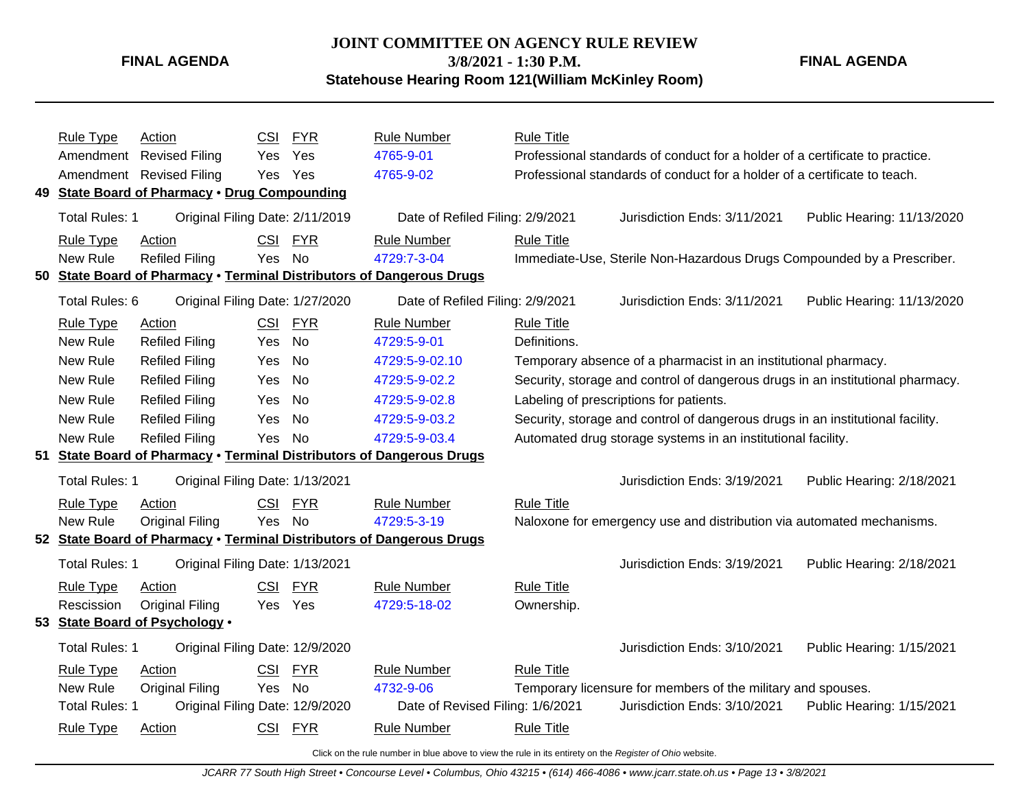**JOINT COMMITTEE ON AGENCY RULE REVIEW 3/8/2021 - 1:30 P.M.**

**FINAL AGENDA**

**Statehouse Hearing Room 121(William McKinley Room)**

|     | Rule Type             | Action                                            | <b>CSI</b> | <b>FYR</b> | <b>Rule Number</b>                                                        | <b>Rule Title</b> |                                                                                |                            |
|-----|-----------------------|---------------------------------------------------|------------|------------|---------------------------------------------------------------------------|-------------------|--------------------------------------------------------------------------------|----------------------------|
|     | Amendment             | <b>Revised Filing</b>                             | Yes        | Yes        | 4765-9-01                                                                 |                   | Professional standards of conduct for a holder of a certificate to practice.   |                            |
|     |                       | Amendment Revised Filing                          | Yes.       | Yes        | 4765-9-02                                                                 |                   | Professional standards of conduct for a holder of a certificate to teach.      |                            |
| 49. |                       | <b>State Board of Pharmacy . Drug Compounding</b> |            |            |                                                                           |                   |                                                                                |                            |
|     | <b>Total Rules: 1</b> | Original Filing Date: 2/11/2019                   |            |            | Date of Refiled Filing: 2/9/2021                                          |                   | Jurisdiction Ends: 3/11/2021                                                   | Public Hearing: 11/13/2020 |
|     | <b>Rule Type</b>      | Action                                            | CSI        | <b>FYR</b> | <b>Rule Number</b>                                                        | <b>Rule Title</b> |                                                                                |                            |
|     | New Rule              | <b>Refiled Filing</b>                             | Yes.       | <b>No</b>  | 4729:7-3-04                                                               |                   | Immediate-Use, Sterile Non-Hazardous Drugs Compounded by a Prescriber.         |                            |
| 50  |                       |                                                   |            |            | State Board of Pharmacy . Terminal Distributors of Dangerous Drugs        |                   |                                                                                |                            |
|     | Total Rules: 6        | Original Filing Date: 1/27/2020                   |            |            | Date of Refiled Filing: 2/9/2021                                          |                   | Jurisdiction Ends: 3/11/2021                                                   | Public Hearing: 11/13/2020 |
|     | <b>Rule Type</b>      | <b>Action</b>                                     | <b>CSI</b> | <b>FYR</b> | <b>Rule Number</b>                                                        | <b>Rule Title</b> |                                                                                |                            |
|     | New Rule              | <b>Refiled Filing</b>                             | Yes.       | No         | 4729:5-9-01                                                               | Definitions.      |                                                                                |                            |
|     | New Rule              | <b>Refiled Filing</b>                             | Yes        | <b>No</b>  | 4729:5-9-02.10                                                            |                   | Temporary absence of a pharmacist in an institutional pharmacy.                |                            |
|     | New Rule              | <b>Refiled Filing</b>                             | Yes.       | No         | 4729:5-9-02.2                                                             |                   | Security, storage and control of dangerous drugs in an institutional pharmacy. |                            |
|     | New Rule              | <b>Refiled Filing</b>                             | Yes        | <b>No</b>  | 4729:5-9-02.8                                                             |                   | Labeling of prescriptions for patients.                                        |                            |
|     | New Rule              | <b>Refiled Filing</b>                             | Yes        | <b>No</b>  | 4729:5-9-03.2                                                             |                   | Security, storage and control of dangerous drugs in an institutional facility. |                            |
|     | New Rule              | <b>Refiled Filing</b>                             | Yes        | <b>No</b>  | 4729:5-9-03.4                                                             |                   | Automated drug storage systems in an institutional facility.                   |                            |
| 51  |                       |                                                   |            |            | <b>State Board of Pharmacy . Terminal Distributors of Dangerous Drugs</b> |                   |                                                                                |                            |
|     | <b>Total Rules: 1</b> | Original Filing Date: 1/13/2021                   |            |            |                                                                           |                   | Jurisdiction Ends: 3/19/2021                                                   | Public Hearing: 2/18/2021  |
|     | <b>Rule Type</b>      | Action                                            | CSI        | <b>FYR</b> | <b>Rule Number</b>                                                        | <b>Rule Title</b> |                                                                                |                            |
|     | New Rule              | <b>Original Filing</b>                            | Yes        | <b>No</b>  | 4729:5-3-19                                                               |                   | Naloxone for emergency use and distribution via automated mechanisms.          |                            |
|     |                       |                                                   |            |            | 52 State Board of Pharmacy . Terminal Distributors of Dangerous Drugs     |                   |                                                                                |                            |
|     | <b>Total Rules: 1</b> | Original Filing Date: 1/13/2021                   |            |            |                                                                           |                   | Jurisdiction Ends: 3/19/2021                                                   | Public Hearing: 2/18/2021  |
|     | <b>Rule Type</b>      | Action                                            | <b>CSI</b> | <b>FYR</b> | <b>Rule Number</b>                                                        | <b>Rule Title</b> |                                                                                |                            |
|     | Rescission            | <b>Original Filing</b>                            |            | Yes Yes    | 4729:5-18-02                                                              | Ownership.        |                                                                                |                            |
|     |                       | 53 State Board of Psychology .                    |            |            |                                                                           |                   |                                                                                |                            |
|     | <b>Total Rules: 1</b> | Original Filing Date: 12/9/2020                   |            |            |                                                                           |                   | Jurisdiction Ends: 3/10/2021                                                   | Public Hearing: 1/15/2021  |
|     | <b>Rule Type</b>      | Action                                            | <b>CSI</b> | <b>FYR</b> | <b>Rule Number</b>                                                        | <b>Rule Title</b> |                                                                                |                            |
|     | New Rule              | <b>Original Filing</b>                            | Yes        | <b>No</b>  | 4732-9-06                                                                 |                   | Temporary licensure for members of the military and spouses.                   |                            |
|     | <b>Total Rules: 1</b> | Original Filing Date: 12/9/2020                   |            |            | Date of Revised Filing: 1/6/2021                                          |                   | Jurisdiction Ends: 3/10/2021                                                   | Public Hearing: 1/15/2021  |
|     | <b>Rule Type</b>      | Action                                            |            | CSI FYR    | <b>Rule Number</b>                                                        | <b>Rule Title</b> |                                                                                |                            |